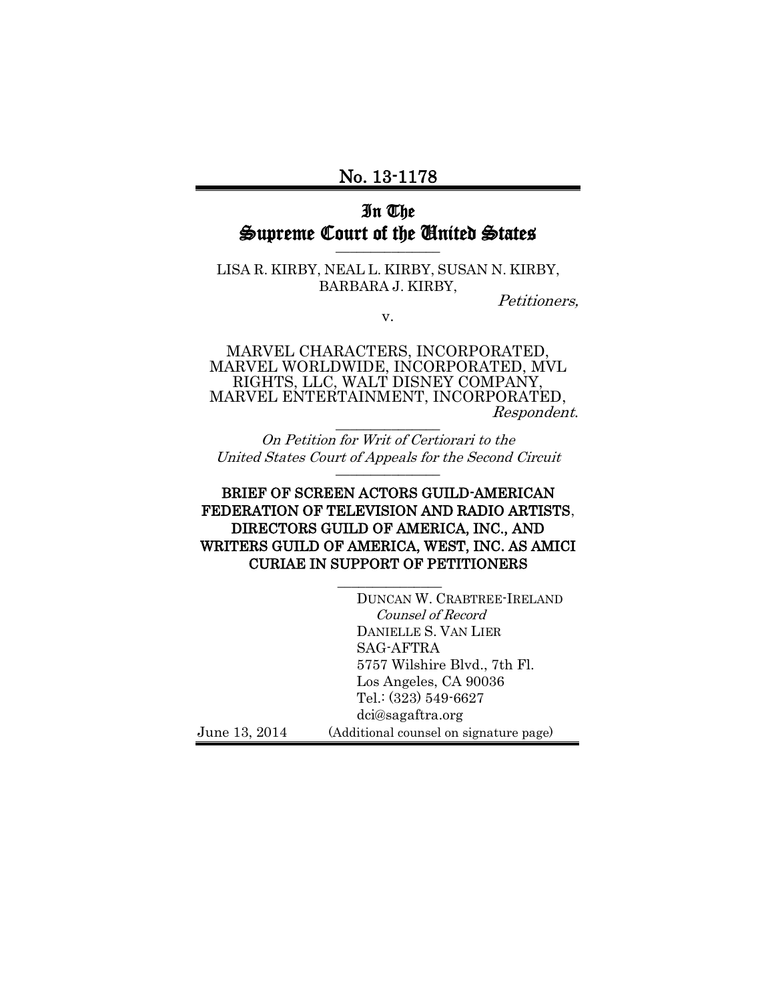# No. 13-1178

## In The Supreme Court of the United States \_\_\_\_\_\_\_\_\_\_\_\_\_\_\_

LISA R. KIRBY, NEAL L. KIRBY, SUSAN N. KIRBY, BARBARA J. KIRBY,

Petitioners,

v.

MARVEL CHARACTERS, INCORPORATED, MARVEL WORLDWIDE, INCORPORATED, MVL RIGHTS, LLC, WALT DISNEY COMPANY, MARVEL ENTERTAINMENT, INCORPORATED, Respondent. \_\_\_\_\_\_\_\_\_\_\_\_\_\_\_

On Petition for Writ of Certiorari to the United States Court of Appeals for the Second Circuit \_\_\_\_\_\_\_\_\_\_\_\_\_\_\_

## BRIEF OF SCREEN ACTORS GUILD-AMERICAN FEDERATION OF TELEVISION AND RADIO ARTISTS, DIRECTORS GUILD OF AMERICA, INC., AND WRITERS GUILD OF AMERICA, WEST, INC. AS AMICI CURIAE IN SUPPORT OF PETITIONERS

 $\mathcal{L}$ 

DUNCAN W. CRABTREE-IRELAND Counsel of Record DANIELLE S. VAN LIER SAG-AFTRA 5757 Wilshire Blvd., 7th Fl. Los Angeles, CA 90036 Tel.: (323) 549-6627 dci@sagaftra.org June 13, 2014 (Additional counsel on signature page)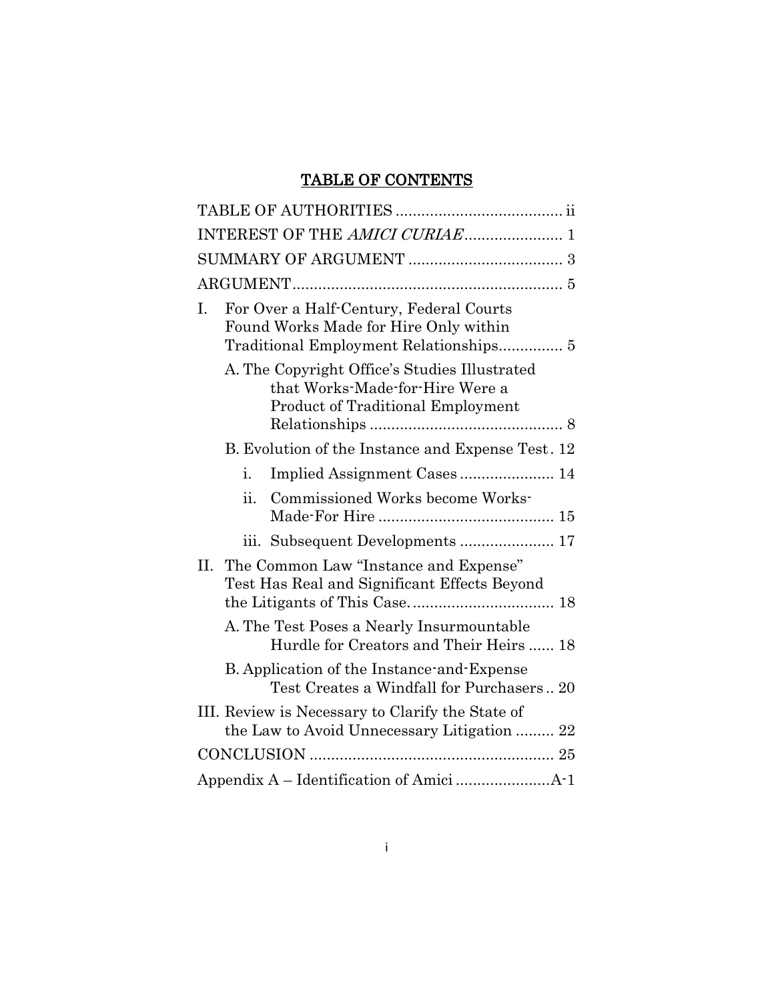# TABLE OF CONTENTS

| INTEREST OF THE AMICI CURIAE 1                                                                                               |
|------------------------------------------------------------------------------------------------------------------------------|
|                                                                                                                              |
|                                                                                                                              |
| For Over a Half-Century, Federal Courts<br>L.<br>Found Works Made for Hire Only within                                       |
| A. The Copyright Office's Studies Illustrated<br>that Works-Made-for-Hire Were a<br><b>Product of Traditional Employment</b> |
| B. Evolution of the Instance and Expense Test. 12                                                                            |
| Implied Assignment Cases 14<br>i.                                                                                            |
| Commissioned Works become Works-<br>ii.                                                                                      |
|                                                                                                                              |
| II. The Common Law "Instance and Expense"<br>Test Has Real and Significant Effects Beyond                                    |
| A. The Test Poses a Nearly Insurmountable<br>Hurdle for Creators and Their Heirs  18                                         |
| B. Application of the Instance-and-Expense<br>Test Creates a Windfall for Purchasers 20                                      |
| III. Review is Necessary to Clarify the State of<br>the Law to Avoid Unnecessary Litigation  22                              |
|                                                                                                                              |
|                                                                                                                              |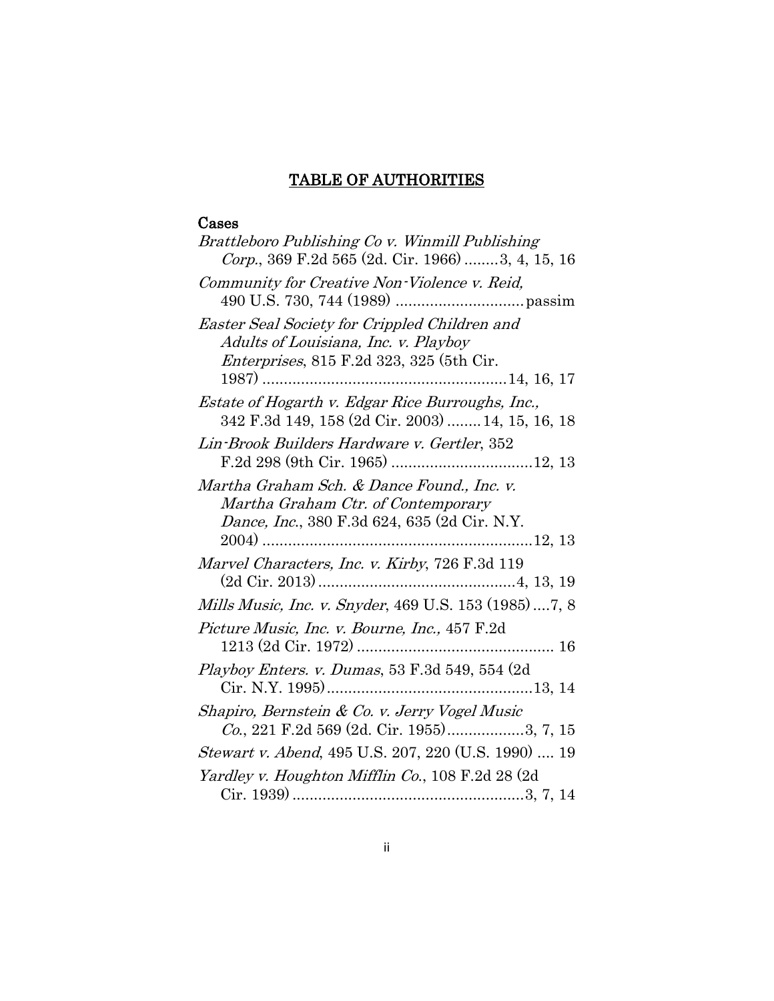# TABLE OF AUTHORITIES

# <span id="page-2-0"></span>Cases

| Brattleboro Publishing Co v. Winmill Publishing        |
|--------------------------------------------------------|
| Corp., 369 F.2d 565 (2d. Cir. 1966) 3, 4, 15, 16       |
| Community for Creative Non-Violence v. Reid,           |
|                                                        |
| Easter Seal Society for Crippled Children and          |
| Adults of Louisiana, Inc. v. Playboy                   |
| <i>Enterprises</i> , 815 F.2d 323, 325 (5th Cir.       |
|                                                        |
| Estate of Hogarth v. Edgar Rice Burroughs, Inc.,       |
| 342 F.3d 149, 158 (2d Cir. 2003)  14, 15, 16, 18       |
| Lin-Brook Builders Hardware v. Gertler, 352            |
|                                                        |
| Martha Graham Sch. & Dance Found., Inc. v.             |
| Martha Graham Ctr. of Contemporary                     |
| Dance, Inc., 380 F.3d 624, 635 (2d Cir. N.Y.           |
|                                                        |
| Marvel Characters, Inc. v. Kirby, 726 F.3d 119         |
|                                                        |
| Mills Music, Inc. v. Snyder, 469 U.S. 153 (1985)  7, 8 |
| Picture Music, Inc. v. Bourne, Inc., 457 F.2d          |
|                                                        |
| Playboy Enters. v. Dumas, 53 F.3d 549, 554 (2d)        |
|                                                        |
| Shapiro, Bernstein & Co. v. Jerry Vogel Music          |
| Co., 221 F.2d 569 (2d. Cir. 1955)3, 7, 15              |
| Stewart v. Abend, 495 U.S. 207, 220 (U.S. 1990)  19    |
| Yardley v. Houghton Mifflin Co., 108 F.2d 28 (2d       |
|                                                        |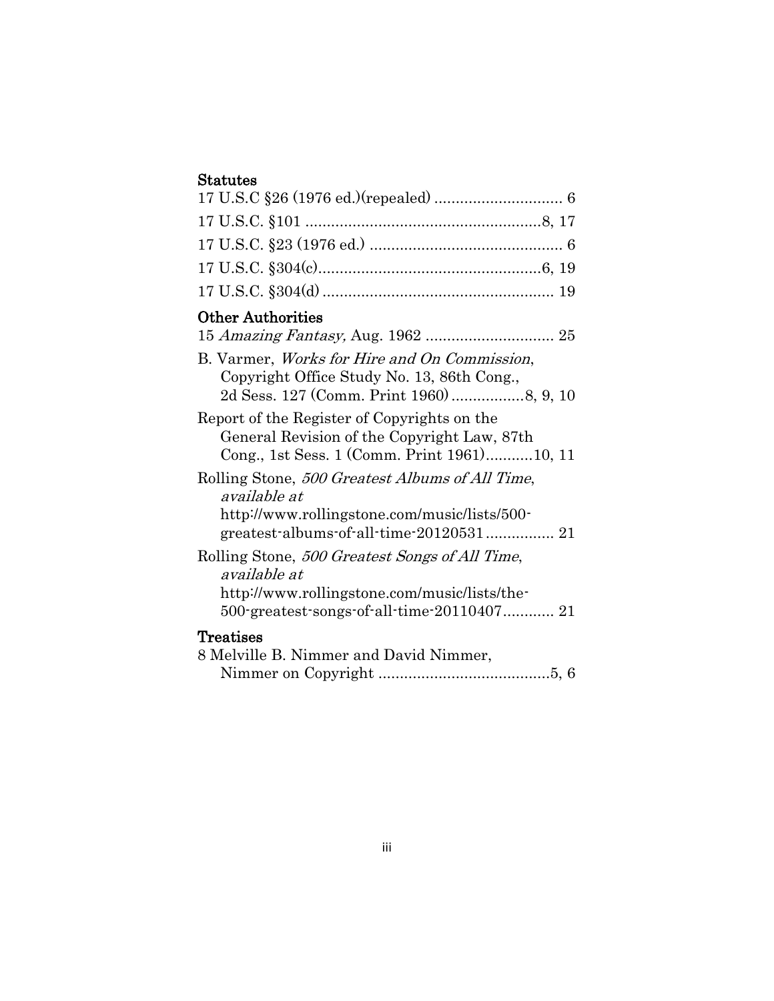# Statutes

| <b>Other Authorities</b>                                                                                                                                     |
|--------------------------------------------------------------------------------------------------------------------------------------------------------------|
| B. Varmer, <i>Works for Hire and On Commission</i> ,<br>Copyright Office Study No. 13, 86th Cong.,                                                           |
| Report of the Register of Copyrights on the<br>General Revision of the Copyright Law, 87th<br>Cong., 1st Sess. 1 (Comm. Print 1961)10, 11                    |
| Rolling Stone, 500 Greatest Albums of All Time,<br>available at<br>http://www.rollingstone.com/music/lists/500-<br>greatest-albums-of-all-time-20120531 21   |
| Rolling Stone, 500 Greatest Songs of All Time,<br>available at<br>http://www.rollingstone.com/music/lists/the-<br>500-greatest-songs-of-all-time-20110407 21 |
| Treatises<br>8 Melville B. Nimmer and David Nimmer,                                                                                                          |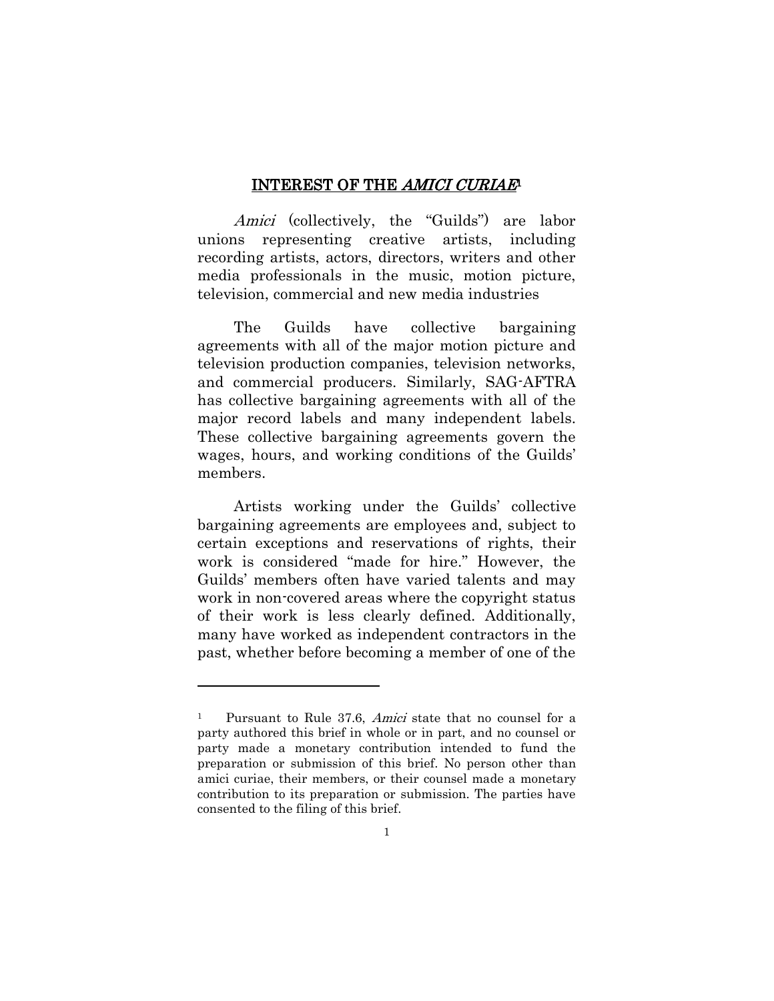#### INTEREST OF THE AMICI CURIAE<sup>1</sup>

<span id="page-4-0"></span>Amici (collectively, the "Guilds") are labor unions representing creative artists, including recording artists, actors, directors, writers and other media professionals in the music, motion picture, television, commercial and new media industries

The Guilds have collective bargaining agreements with all of the major motion picture and television production companies, television networks, and commercial producers. Similarly, SAG-AFTRA has collective bargaining agreements with all of the major record labels and many independent labels. These collective bargaining agreements govern the wages, hours, and working conditions of the Guilds' members.

Artists working under the Guilds' collective bargaining agreements are employees and, subject to certain exceptions and reservations of rights, their work is considered "made for hire." However, the Guilds' members often have varied talents and may work in non-covered areas where the copyright status of their work is less clearly defined. Additionally, many have worked as independent contractors in the past, whether before becoming a member of one of the

 $\overline{a}$ 

<sup>&</sup>lt;sup>1</sup> Pursuant to Rule 37.6, *Amici* state that no counsel for a party authored this brief in whole or in part, and no counsel or party made a monetary contribution intended to fund the preparation or submission of this brief. No person other than amici curiae, their members, or their counsel made a monetary contribution to its preparation or submission. The parties have consented to the filing of this brief.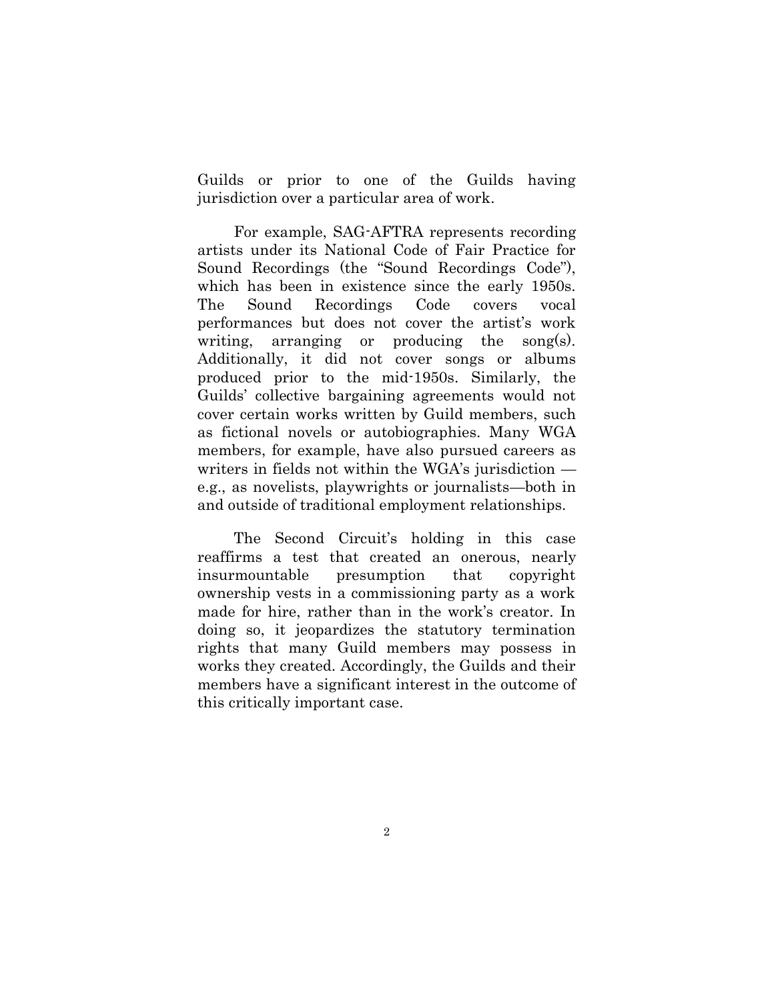Guilds or prior to one of the Guilds having jurisdiction over a particular area of work.

For example, SAG-AFTRA represents recording artists under its National Code of Fair Practice for Sound Recordings (the "Sound Recordings Code"), which has been in existence since the early 1950s. The Sound Recordings Code covers vocal performances but does not cover the artist's work writing, arranging or producing the song(s). Additionally, it did not cover songs or albums produced prior to the mid-1950s. Similarly, the Guilds' collective bargaining agreements would not cover certain works written by Guild members, such as fictional novels or autobiographies. Many WGA members, for example, have also pursued careers as writers in fields not within the WGA's jurisdiction e.g., as novelists, playwrights or journalists—both in and outside of traditional employment relationships.

The Second Circuit's holding in this case reaffirms a test that created an onerous, nearly insurmountable presumption that copyright ownership vests in a commissioning party as a work made for hire, rather than in the work's creator. In doing so, it jeopardizes the statutory termination rights that many Guild members may possess in works they created. Accordingly, the Guilds and their members have a significant interest in the outcome of this critically important case.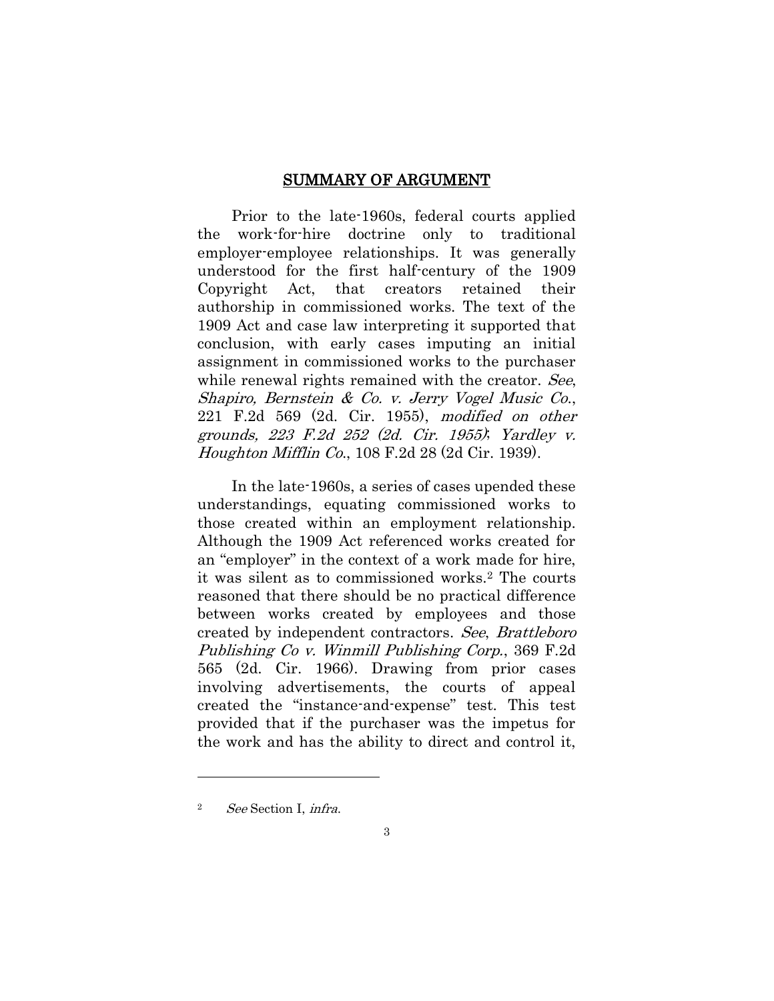#### SUMMARY OF ARGUMENT

<span id="page-6-0"></span>Prior to the late-1960s, federal courts applied the work-for-hire doctrine only to traditional employer-employee relationships. It was generally understood for the first half-century of the 1909 Copyright Act, that creators retained their authorship in commissioned works. The text of the 1909 Act and case law interpreting it supported that conclusion, with early cases imputing an initial assignment in commissioned works to the purchaser while renewal rights remained with the creator. See, Shapiro, Bernstein & Co. v. Jerry Vogel Music Co., 221 F.2d 569 (2d. Cir. 1955), modified on other grounds, 223 F.2d 252 (2d. Cir. 1955); Yardley v. Houghton Mifflin Co., 108 F.2d 28 (2d Cir. 1939).

In the late-1960s, a series of cases upended these understandings, equating commissioned works to those created within an employment relationship. Although the 1909 Act referenced works created for an "employer" in the context of a work made for hire, it was silent as to commissioned works.<sup>2</sup> The courts reasoned that there should be no practical difference between works created by employees and those created by independent contractors. See, Brattleboro Publishing Co v. Winmill Publishing Corp., 369 F.2d 565 (2d. Cir. 1966). Drawing from prior cases involving advertisements, the courts of appeal created the "instance-and-expense" test. This test provided that if the purchaser was the impetus for the work and has the ability to direct and control it,

 $\overline{a}$ 

<sup>2</sup> See Section I, infra.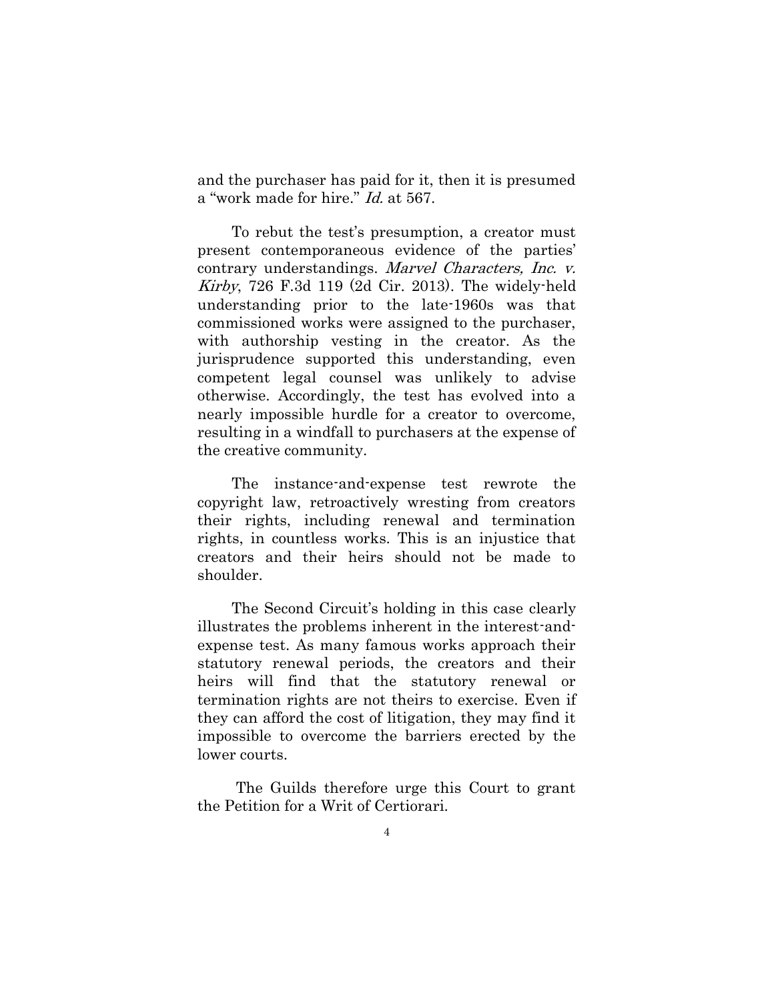and the purchaser has paid for it, then it is presumed a "work made for hire." Id. at 567.

To rebut the test's presumption, a creator must present contemporaneous evidence of the parties' contrary understandings. Marvel Characters, Inc. v. Kirby, 726 F.3d 119 (2d Cir. 2013). The widely-held understanding prior to the late-1960s was that commissioned works were assigned to the purchaser, with authorship vesting in the creator. As the jurisprudence supported this understanding, even competent legal counsel was unlikely to advise otherwise. Accordingly, the test has evolved into a nearly impossible hurdle for a creator to overcome, resulting in a windfall to purchasers at the expense of the creative community.

The instance-and-expense test rewrote the copyright law, retroactively wresting from creators their rights, including renewal and termination rights, in countless works. This is an injustice that creators and their heirs should not be made to shoulder.

The Second Circuit's holding in this case clearly illustrates the problems inherent in the interest-andexpense test. As many famous works approach their statutory renewal periods, the creators and their heirs will find that the statutory renewal or termination rights are not theirs to exercise. Even if they can afford the cost of litigation, they may find it impossible to overcome the barriers erected by the lower courts.

The Guilds therefore urge this Court to grant the Petition for a Writ of Certiorari.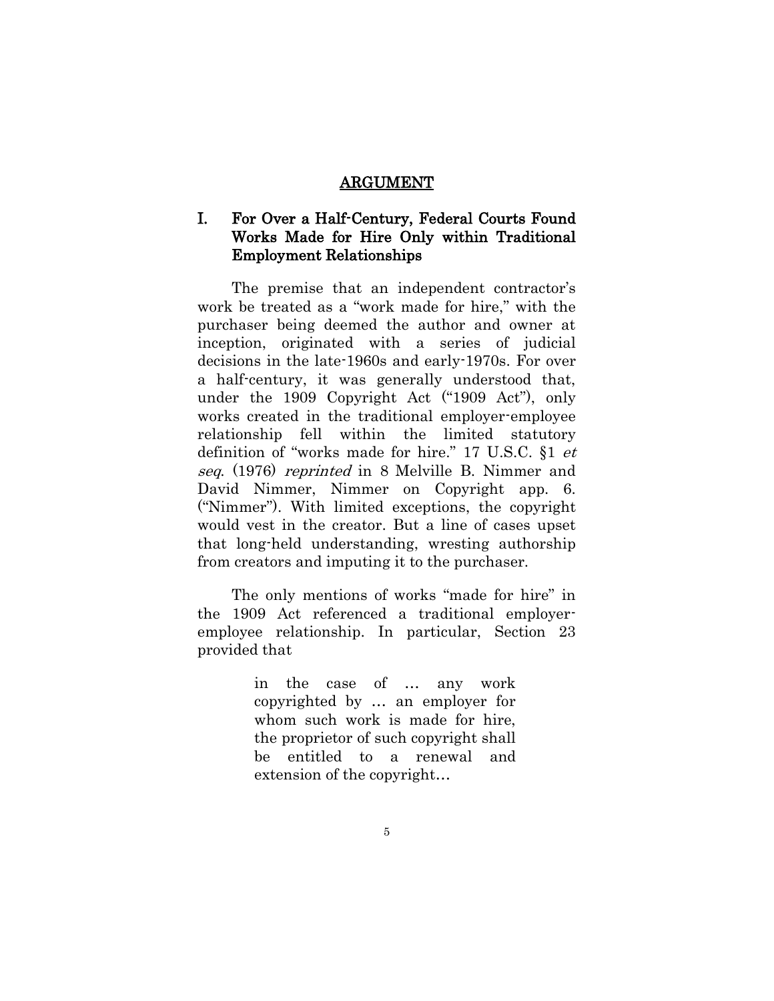#### ARGUMENT

# <span id="page-8-1"></span><span id="page-8-0"></span>I. For Over a Half-Century, Federal Courts Found Works Made for Hire Only within Traditional Employment Relationships

The premise that an independent contractor's work be treated as a "work made for hire," with the purchaser being deemed the author and owner at inception, originated with a series of judicial decisions in the late-1960s and early-1970s. For over a half-century, it was generally understood that, under the 1909 Copyright Act ("1909 Act"), only works created in the traditional employer-employee relationship fell within the limited statutory definition of "works made for hire." 17 U.S.C. §1 et seq. (1976) reprinted in 8 Melville B. Nimmer and David Nimmer, Nimmer on Copyright app. 6. ("Nimmer"). With limited exceptions, the copyright would vest in the creator. But a line of cases upset that long-held understanding, wresting authorship from creators and imputing it to the purchaser.

The only mentions of works "made for hire" in the 1909 Act referenced a traditional employeremployee relationship. In particular, Section 23 provided that

> in the case of … any work copyrighted by … an employer for whom such work is made for hire, the proprietor of such copyright shall be entitled to a renewal and extension of the copyright…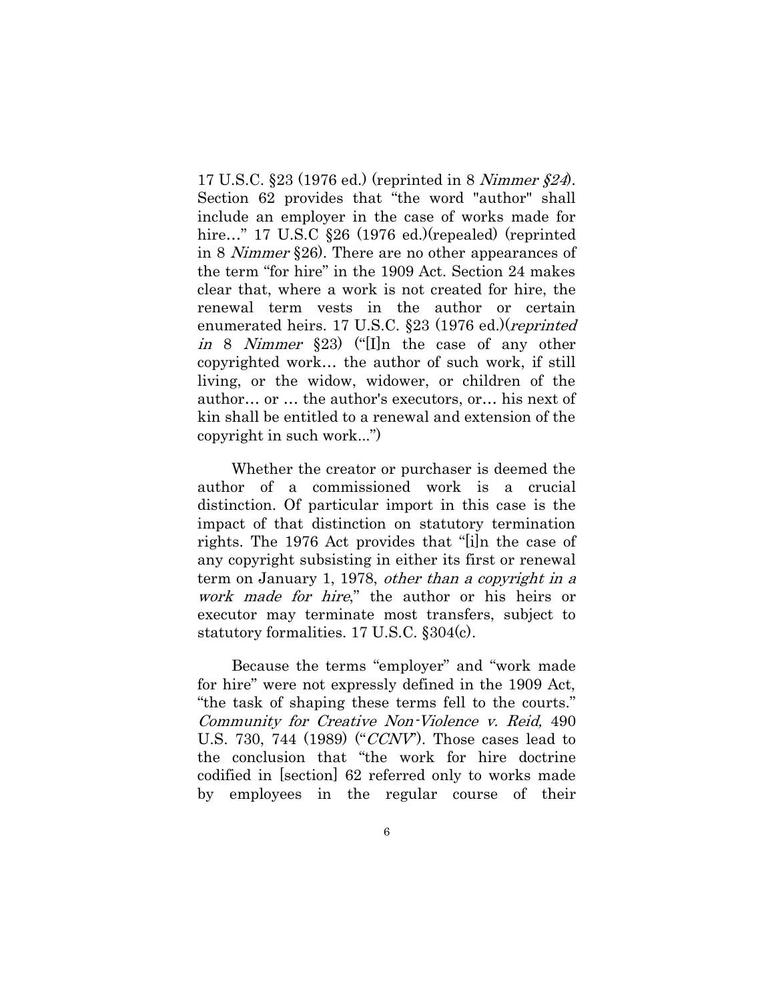17 U.S.C. §23 (1976 ed.) (reprinted in 8 Nimmer §24). Section 62 provides that "the word "author" shall include an employer in the case of works made for hire…" 17 U.S.C §26 (1976 ed.)(repealed) (reprinted in 8 Nimmer §26). There are no other appearances of the term "for hire" in the 1909 Act. Section 24 makes clear that, where a work is not created for hire, the renewal term vests in the author or certain enumerated heirs. 17 U.S.C. §23 (1976 ed.)(reprinted in 8 Nimmer §23) ("[I]n the case of any other copyrighted work… the author of such work, if still living, or the widow, widower, or children of the author… or … the author's executors, or… his next of kin shall be entitled to a renewal and extension of the copyright in such work...")

Whether the creator or purchaser is deemed the author of a commissioned work is a crucial distinction. Of particular import in this case is the impact of that distinction on statutory termination rights. The 1976 Act provides that "[i]n the case of any copyright subsisting in either its first or renewal term on January 1, 1978, *other than a copyright in a* work made for hire," the author or his heirs or executor may terminate most transfers, subject to statutory formalities. 17 U.S.C. §304(c).

Because the terms "employer" and "work made for hire" were not expressly defined in the 1909 Act, "the task of shaping these terms fell to the courts." Community for Creative Non-Violence v. Reid, 490 U.S. 730, 744 (1989) (" $CCNV$ ). Those cases lead to the conclusion that "the work for hire doctrine codified in [section] 62 referred only to works made by employees in the regular course of their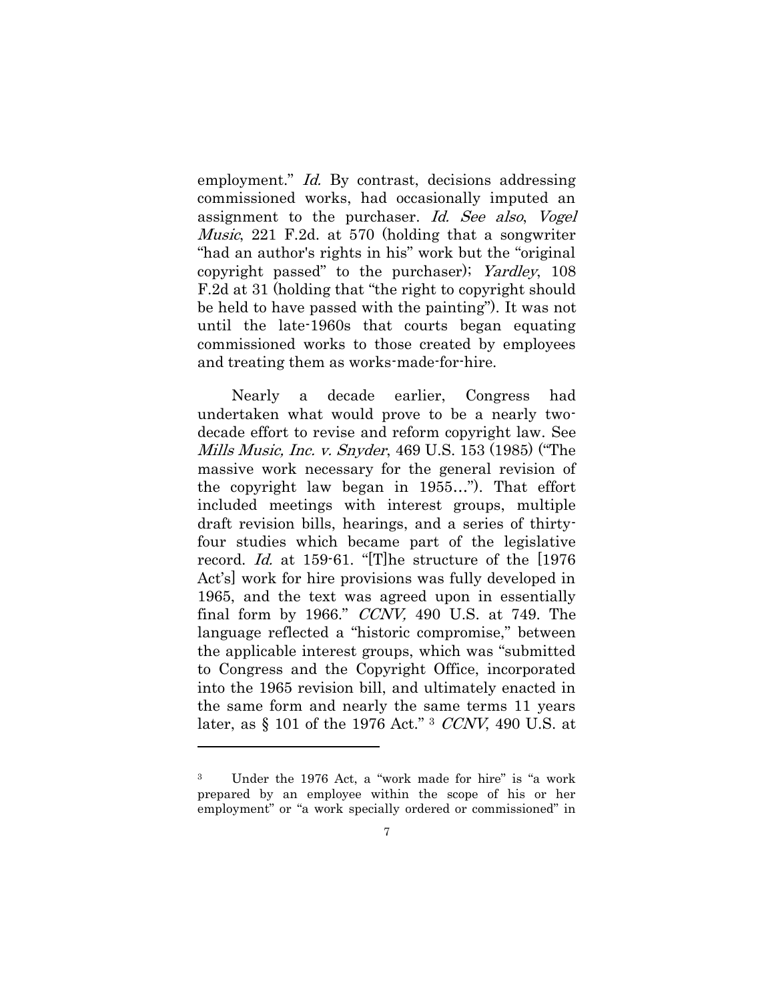employment." Id. By contrast, decisions addressing commissioned works, had occasionally imputed an assignment to the purchaser. Id. See also, Vogel Music, 221 F.2d. at 570 (holding that a songwriter "had an author's rights in his" work but the "original copyright passed" to the purchaser); Yardley, 108 F.2d at 31 (holding that "the right to copyright should be held to have passed with the painting"). It was not until the late-1960s that courts began equating commissioned works to those created by employees and treating them as works-made-for-hire.

Nearly a decade earlier, Congress had undertaken what would prove to be a nearly twodecade effort to revise and reform copyright law. See Mills Music, Inc. v. Snyder, 469 U.S. 153 (1985) ("The massive work necessary for the general revision of the copyright law began in 1955…"). That effort included meetings with interest groups, multiple draft revision bills, hearings, and a series of thirtyfour studies which became part of the legislative record. Id. at 159-61. "[T]he structure of the [1976 Act's] work for hire provisions was fully developed in 1965, and the text was agreed upon in essentially final form by 1966." CCNV, 490 U.S. at 749. The language reflected a "historic compromise," between the applicable interest groups, which was "submitted to Congress and the Copyright Office, incorporated into the 1965 revision bill, and ultimately enacted in the same form and nearly the same terms 11 years later, as § 101 of the 1976 Act." <sup>3</sup> CCNV, 490 U.S. at

 $\overline{a}$ 

<sup>3</sup> Under the 1976 Act, a "work made for hire" is "a work prepared by an employee within the scope of his or her employment" or "a work specially ordered or commissioned" in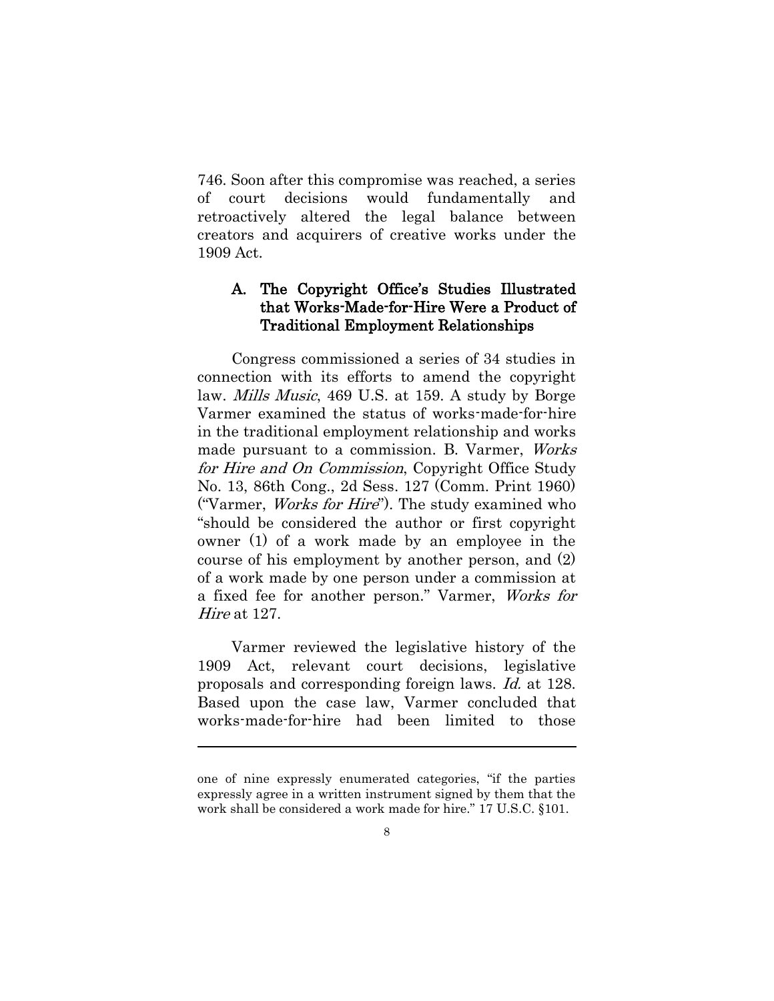746. Soon after this compromise was reached, a series of court decisions would fundamentally and retroactively altered the legal balance between creators and acquirers of creative works under the 1909 Act.

# <span id="page-11-0"></span>A. The Copyright Office's Studies Illustrated that Works-Made-for-Hire Were a Product of Traditional Employment Relationships

Congress commissioned a series of 34 studies in connection with its efforts to amend the copyright law. Mills Music, 469 U.S. at 159. A study by Borge Varmer examined the status of works-made-for-hire in the traditional employment relationship and works made pursuant to a commission. B. Varmer, *Works* for Hire and On Commission, Copyright Office Study No. 13, 86th Cong., 2d Sess. 127 (Comm. Print 1960) ("Varmer, *Works for Hire*"). The study examined who "should be considered the author or first copyright owner (1) of a work made by an employee in the course of his employment by another person, and (2) of a work made by one person under a commission at a fixed fee for another person." Varmer, Works for Hire at 127.

Varmer reviewed the legislative history of the 1909 Act, relevant court decisions, legislative proposals and corresponding foreign laws. Id. at 128. Based upon the case law, Varmer concluded that works-made-for-hire had been limited to those

 $\overline{a}$ 

one of nine expressly enumerated categories, "if the parties expressly agree in a written instrument signed by them that the work shall be considered a work made for hire." 17 U.S.C. §101.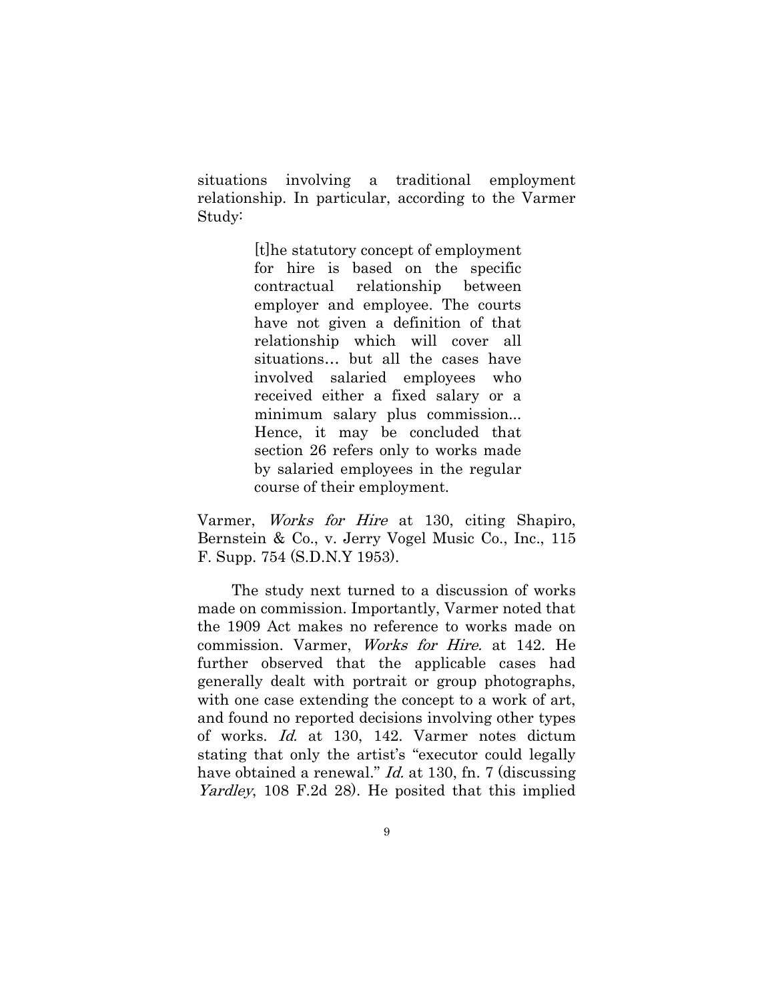situations involving a traditional employment relationship. In particular, according to the Varmer Study:

> [t]he statutory concept of employment for hire is based on the specific contractual relationship between employer and employee. The courts have not given a definition of that relationship which will cover all situations… but all the cases have involved salaried employees who received either a fixed salary or a minimum salary plus commission... Hence, it may be concluded that section 26 refers only to works made by salaried employees in the regular course of their employment.

Varmer, Works for Hire at 130, citing Shapiro, Bernstein & Co., v. Jerry Vogel Music Co., Inc., 115 F. Supp. 754 (S.D.N.Y 1953).

The study next turned to a discussion of works made on commission. Importantly, Varmer noted that the 1909 Act makes no reference to works made on commission. Varmer, Works for Hire. at 142. He further observed that the applicable cases had generally dealt with portrait or group photographs, with one case extending the concept to a work of art, and found no reported decisions involving other types of works. Id. at 130, 142. Varmer notes dictum stating that only the artist's "executor could legally have obtained a renewal." *Id.* at 130, fn. 7 (discussing Yardley, 108 F.2d 28). He posited that this implied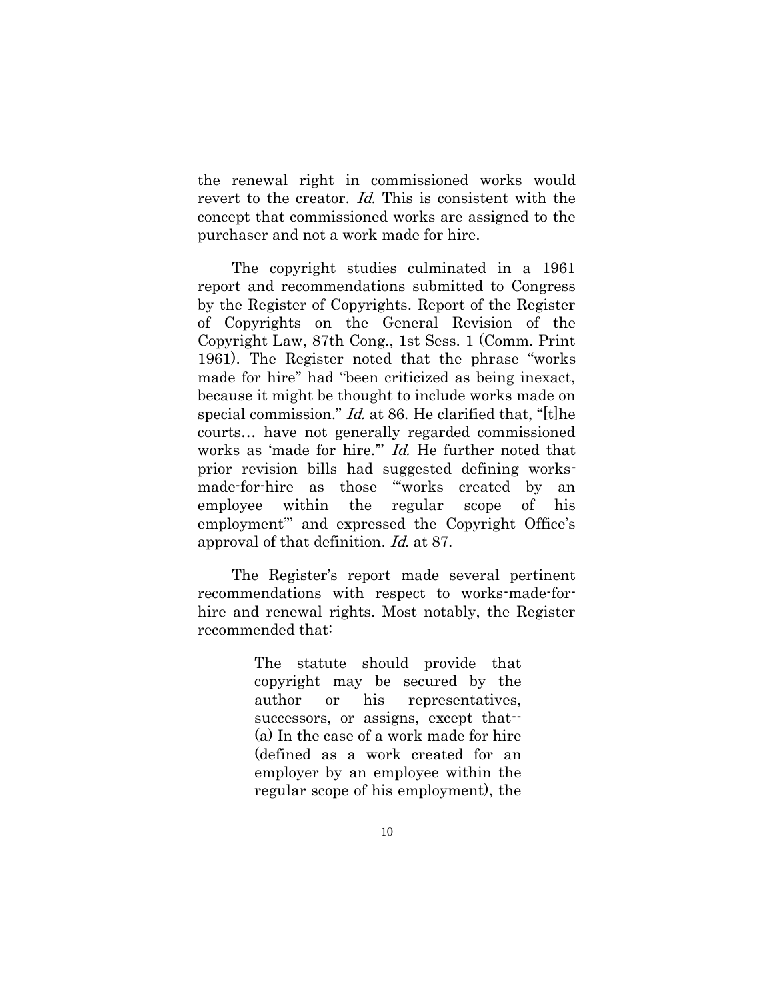the renewal right in commissioned works would revert to the creator. Id. This is consistent with the concept that commissioned works are assigned to the purchaser and not a work made for hire.

The copyright studies culminated in a 1961 report and recommendations submitted to Congress by the Register of Copyrights. Report of the Register of Copyrights on the General Revision of the Copyright Law, 87th Cong., 1st Sess. 1 (Comm. Print 1961). The Register noted that the phrase "works made for hire" had "been criticized as being inexact, because it might be thought to include works made on special commission." *Id.* at 86. He clarified that, "[t]he courts… have not generally regarded commissioned works as 'made for hire.'" Id. He further noted that prior revision bills had suggested defining worksmade-for-hire as those "'works created by an employee within the regular scope of his employment'" and expressed the Copyright Office's approval of that definition. Id. at 87.

The Register's report made several pertinent recommendations with respect to works-made-forhire and renewal rights. Most notably, the Register recommended that:

> The statute should provide that copyright may be secured by the author or his representatives, successors, or assigns, except that--(a) In the case of a work made for hire (defined as a work created for an employer by an employee within the regular scope of his employment), the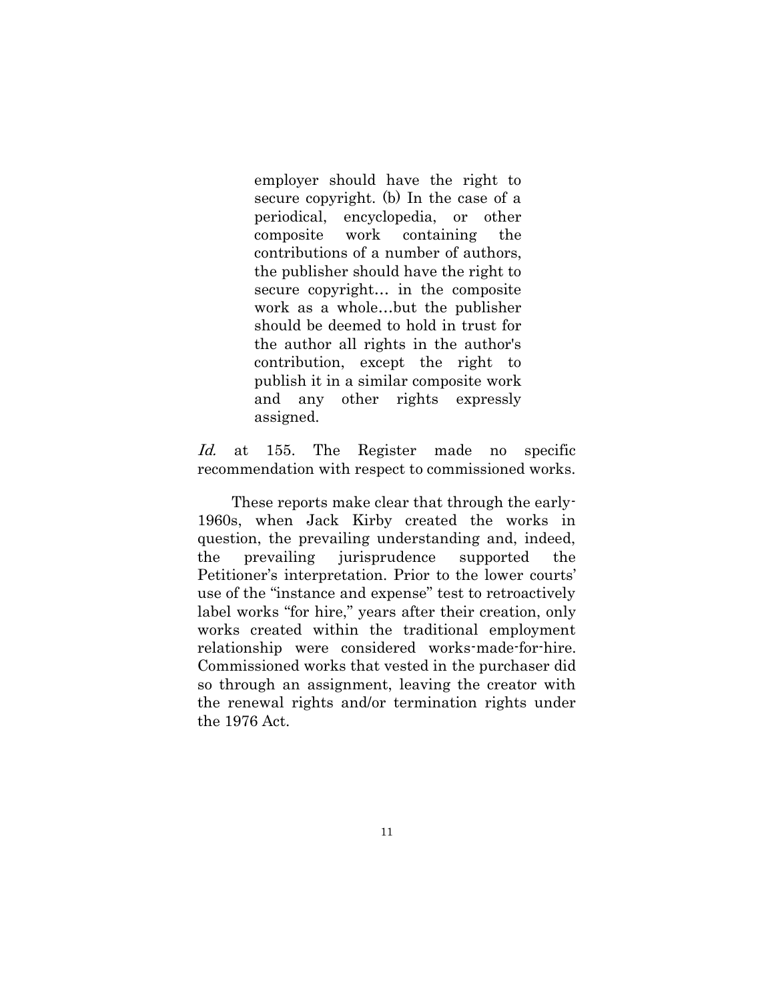employer should have the right to secure copyright. (b) In the case of a periodical, encyclopedia, or other composite work containing the contributions of a number of authors, the publisher should have the right to secure copyright… in the composite work as a whole…but the publisher should be deemed to hold in trust for the author all rights in the author's contribution, except the right to publish it in a similar composite work and any other rights expressly assigned.

Id. at 155. The Register made no specific recommendation with respect to commissioned works.

These reports make clear that through the early-1960s, when Jack Kirby created the works in question, the prevailing understanding and, indeed, the prevailing jurisprudence supported the Petitioner's interpretation. Prior to the lower courts' use of the "instance and expense" test to retroactively label works "for hire," years after their creation, only works created within the traditional employment relationship were considered works-made-for-hire. Commissioned works that vested in the purchaser did so through an assignment, leaving the creator with the renewal rights and/or termination rights under the 1976 Act.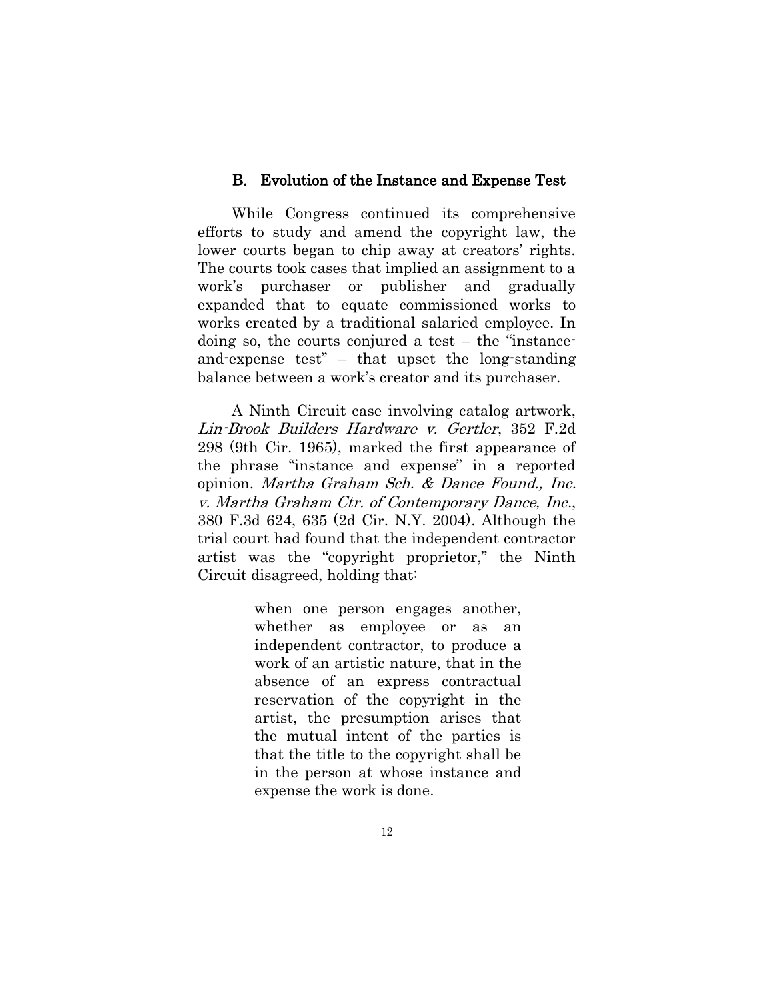#### B. Evolution of the Instance and Expense Test

<span id="page-15-0"></span>While Congress continued its comprehensive efforts to study and amend the copyright law, the lower courts began to chip away at creators' rights. The courts took cases that implied an assignment to a work's purchaser or publisher and gradually expanded that to equate commissioned works to works created by a traditional salaried employee. In doing so, the courts conjured a test – the "instanceand-expense test" – that upset the long-standing balance between a work's creator and its purchaser.

A Ninth Circuit case involving catalog artwork, Lin-Brook Builders Hardware v. Gertler, 352 F.2d 298 (9th Cir. 1965), marked the first appearance of the phrase "instance and expense" in a reported opinion. Martha Graham Sch. & Dance Found., Inc. v. Martha Graham Ctr. of Contemporary Dance, Inc., 380 F.3d 624, 635 (2d Cir. N.Y. 2004). Although the trial court had found that the independent contractor artist was the "copyright proprietor," the Ninth Circuit disagreed, holding that:

> when one person engages another, whether as employee or as an independent contractor, to produce a work of an artistic nature, that in the absence of an express contractual reservation of the copyright in the artist, the presumption arises that the mutual intent of the parties is that the title to the copyright shall be in the person at whose instance and expense the work is done.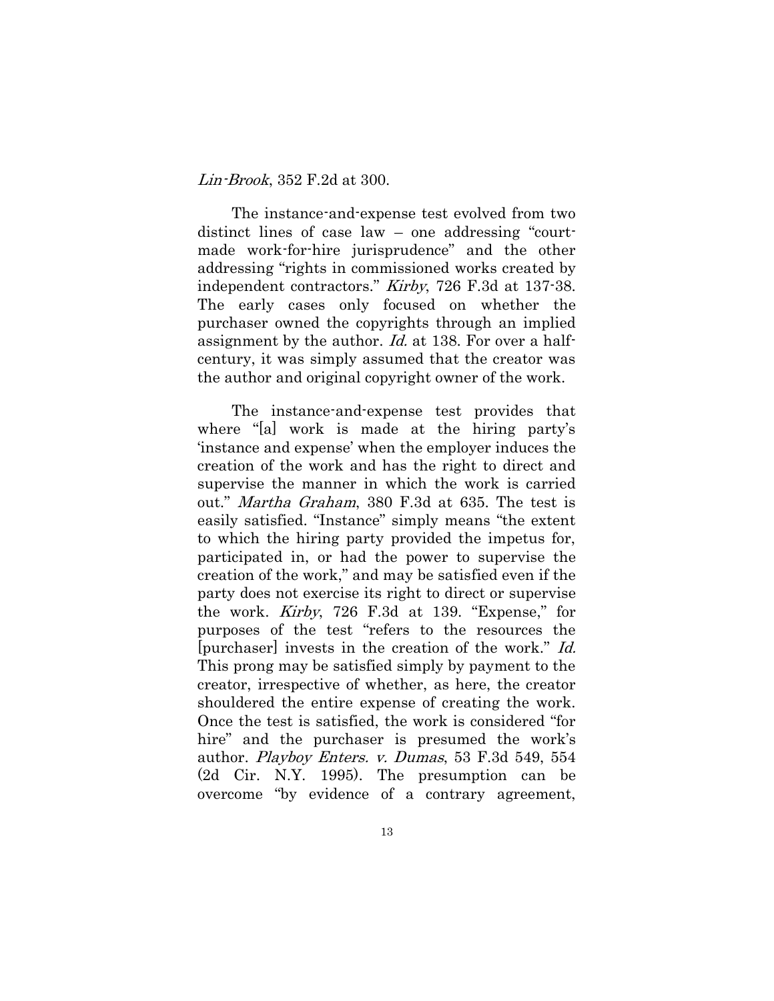#### Lin-Brook, 352 F.2d at 300.

The instance-and-expense test evolved from two distinct lines of case law – one addressing "courtmade work-for-hire jurisprudence" and the other addressing "rights in commissioned works created by independent contractors." Kirby, 726 F.3d at 137-38. The early cases only focused on whether the purchaser owned the copyrights through an implied assignment by the author. *Id.* at 138. For over a halfcentury, it was simply assumed that the creator was the author and original copyright owner of the work.

The instance-and-expense test provides that where "[a] work is made at the hiring party's 'instance and expense' when the employer induces the creation of the work and has the right to direct and supervise the manner in which the work is carried out." *Martha Graham*, 380 F.3d at 635. The test is easily satisfied. "Instance" simply means "the extent to which the hiring party provided the impetus for, participated in, or had the power to supervise the creation of the work," and may be satisfied even if the party does not exercise its right to direct or supervise the work. Kirby, 726 F.3d at 139. "Expense," for purposes of the test "refers to the resources the [purchaser] invests in the creation of the work." Id. This prong may be satisfied simply by payment to the creator, irrespective of whether, as here, the creator shouldered the entire expense of creating the work. Once the test is satisfied, the work is considered "for hire" and the purchaser is presumed the work's author. *Playboy Enters. v. Dumas*, 53 F.3d 549, 554 (2d Cir. N.Y. 1995). The presumption can be overcome "by evidence of a contrary agreement,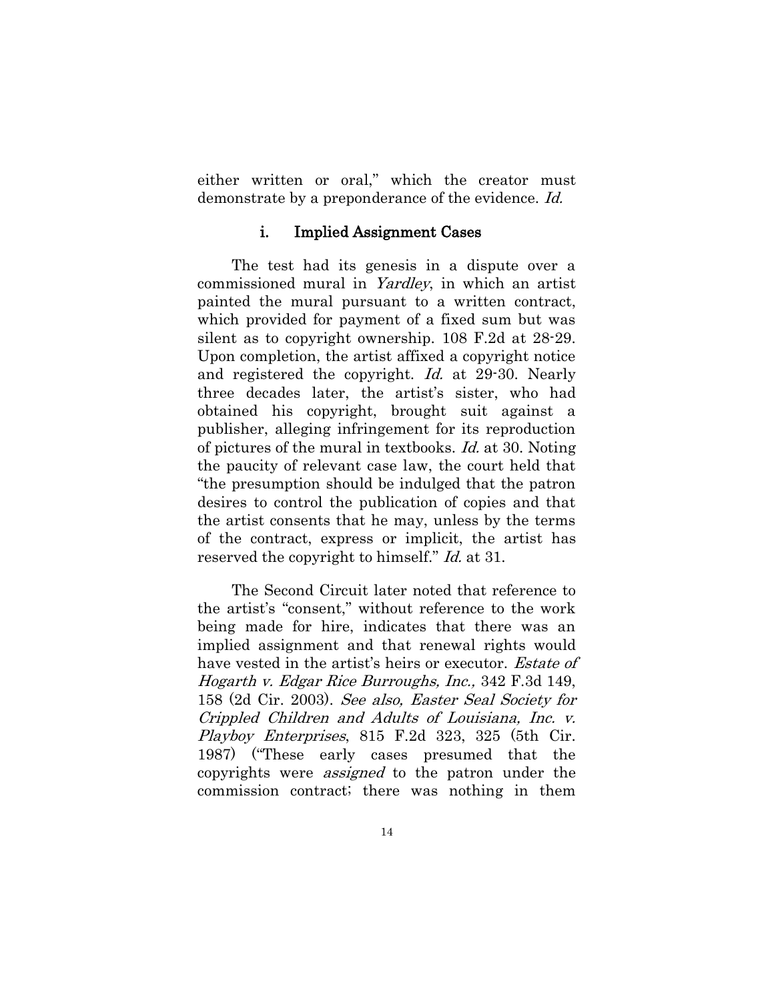either written or oral," which the creator must demonstrate by a preponderance of the evidence. Id.

#### i. Implied Assignment Cases

<span id="page-17-0"></span>The test had its genesis in a dispute over a commissioned mural in Yardley, in which an artist painted the mural pursuant to a written contract, which provided for payment of a fixed sum but was silent as to copyright ownership. 108 F.2d at 28-29. Upon completion, the artist affixed a copyright notice and registered the copyright. Id. at 29-30. Nearly three decades later, the artist's sister, who had obtained his copyright, brought suit against a publisher, alleging infringement for its reproduction of pictures of the mural in textbooks. Id. at 30. Noting the paucity of relevant case law, the court held that "the presumption should be indulged that the patron desires to control the publication of copies and that the artist consents that he may, unless by the terms of the contract, express or implicit, the artist has reserved the copyright to himself." Id. at 31.

The Second Circuit later noted that reference to the artist's "consent," without reference to the work being made for hire, indicates that there was an implied assignment and that renewal rights would have vested in the artist's heirs or executor. *Estate of* Hogarth v. Edgar Rice Burroughs, Inc., 342 F.3d 149, 158 (2d Cir. 2003). See also, Easter Seal Society for Crippled Children and Adults of Louisiana, Inc. v. Playboy Enterprises, 815 F.2d 323, 325 (5th Cir. 1987) ("These early cases presumed that the copyrights were *assigned* to the patron under the commission contract; there was nothing in them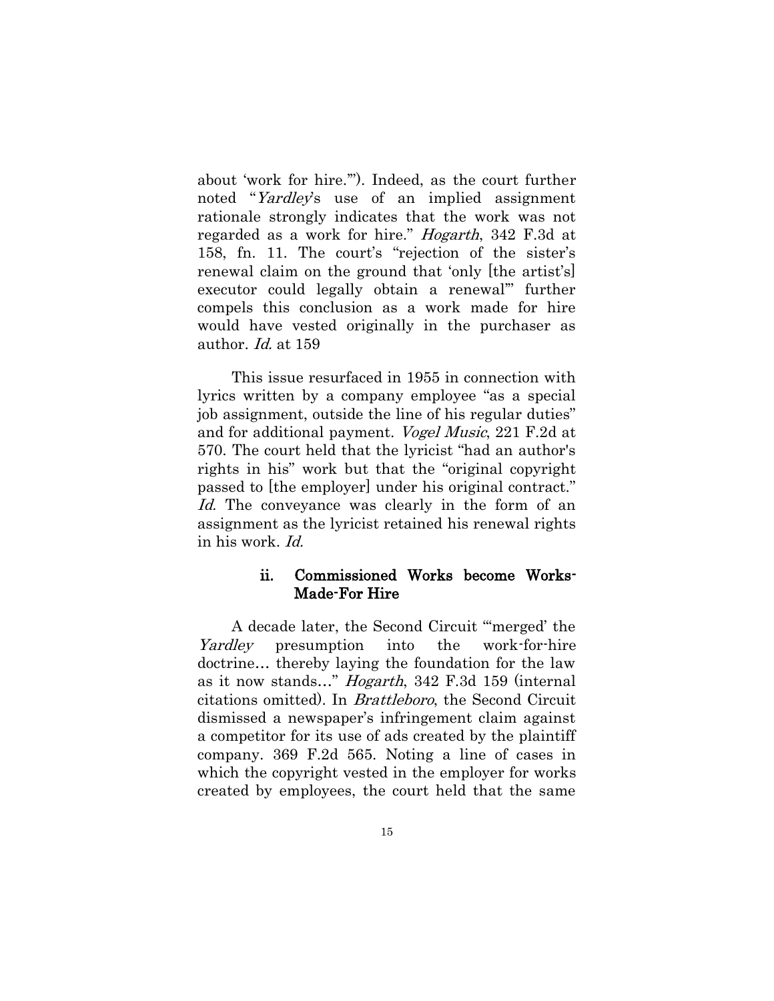about 'work for hire.'"). Indeed, as the court further noted "Yardley's use of an implied assignment rationale strongly indicates that the work was not regarded as a work for hire." Hogarth, 342 F.3d at 158, fn. 11. The court's "rejection of the sister's renewal claim on the ground that 'only [the artist's] executor could legally obtain a renewal'" further compels this conclusion as a work made for hire would have vested originally in the purchaser as author. *Id.* at 159

This issue resurfaced in 1955 in connection with lyrics written by a company employee "as a special job assignment, outside the line of his regular duties" and for additional payment. Vogel Music, 221 F.2d at 570. The court held that the lyricist "had an author's rights in his" work but that the "original copyright passed to [the employer] under his original contract." Id. The conveyance was clearly in the form of an assignment as the lyricist retained his renewal rights in his work. Id.

### ii. Commissioned Works become Works-Made-For Hire

<span id="page-18-0"></span>A decade later, the Second Circuit "'merged' the Yardley presumption into the work-for-hire doctrine… thereby laying the foundation for the law as it now stands..." *Hogarth*, 342 F.3d 159 (internal citations omitted). In Brattleboro, the Second Circuit dismissed a newspaper's infringement claim against a competitor for its use of ads created by the plaintiff company. 369 F.2d 565. Noting a line of cases in which the copyright vested in the employer for works created by employees, the court held that the same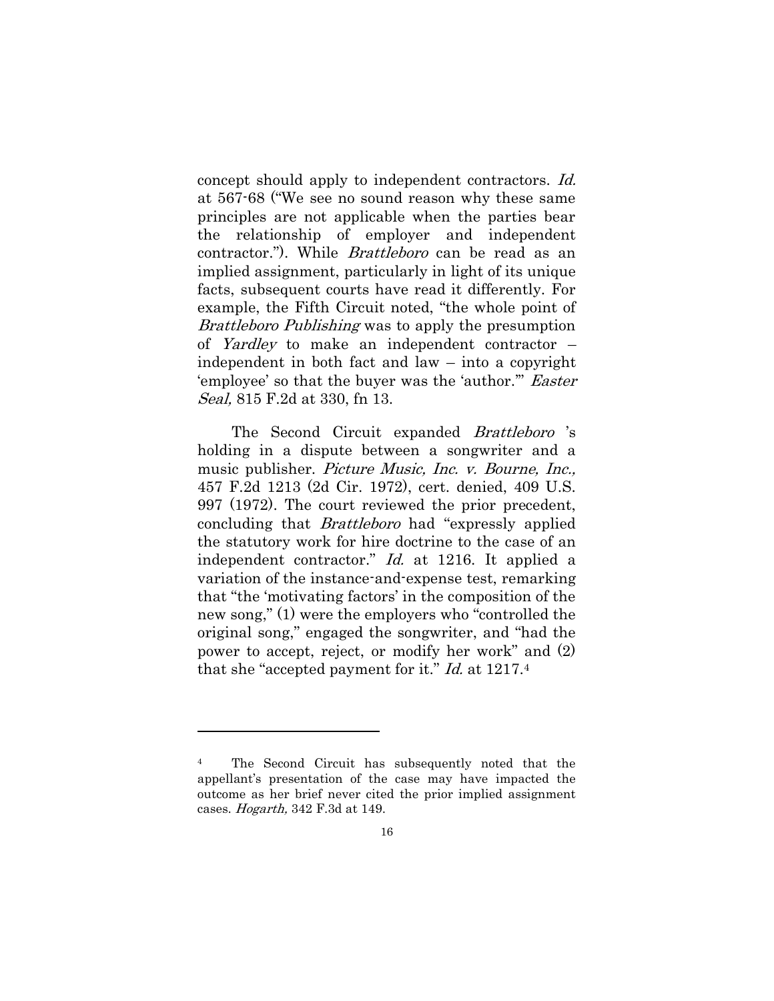concept should apply to independent contractors. Id. at 567-68 ("We see no sound reason why these same principles are not applicable when the parties bear the relationship of employer and independent contractor."). While Brattleboro can be read as an implied assignment, particularly in light of its unique facts, subsequent courts have read it differently. For example, the Fifth Circuit noted, "the whole point of Brattleboro Publishing was to apply the presumption of Yardley to make an independent contractor – independent in both fact and law – into a copyright 'employee' so that the buyer was the 'author.'" Easter Seal, 815 F.2d at 330, fn 13.

The Second Circuit expanded Brattleboro 's holding in a dispute between a songwriter and a music publisher. *Picture Music*, *Inc. v. Bourne*, *Inc.*, 457 F.2d 1213 (2d Cir. 1972), cert. denied, 409 U.S. 997 (1972). The court reviewed the prior precedent, concluding that Brattleboro had "expressly applied the statutory work for hire doctrine to the case of an independent contractor." Id. at 1216. It applied a variation of the instance-and-expense test, remarking that "the 'motivating factors' in the composition of the new song," (1) were the employers who "controlled the original song," engaged the songwriter, and "had the power to accept, reject, or modify her work" and (2) that she "accepted payment for it." Id. at 1217.<sup>4</sup>

 $\overline{a}$ 

<sup>4</sup> The Second Circuit has subsequently noted that the appellant's presentation of the case may have impacted the outcome as her brief never cited the prior implied assignment cases. Hogarth, 342 F.3d at 149.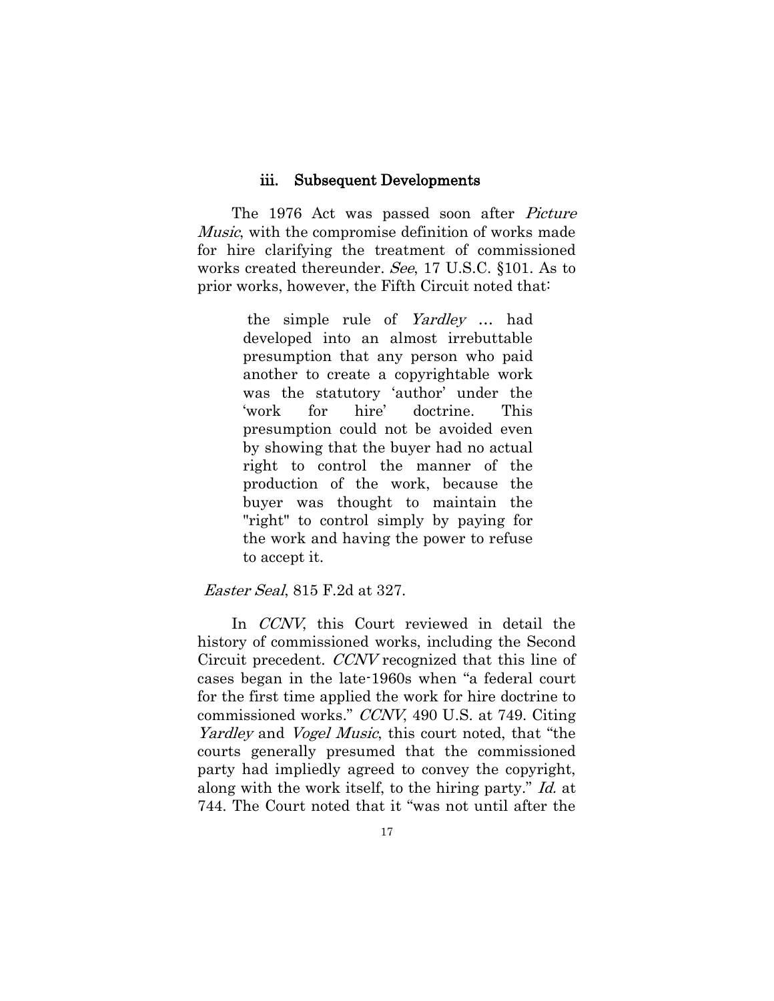#### iii. Subsequent Developments

<span id="page-20-0"></span>The 1976 Act was passed soon after *Picture* Music, with the compromise definition of works made for hire clarifying the treatment of commissioned works created thereunder. See, 17 U.S.C. §101. As to prior works, however, the Fifth Circuit noted that:

> the simple rule of Yardley … had developed into an almost irrebuttable presumption that any person who paid another to create a copyrightable work was the statutory 'author' under the 'work for hire' doctrine. This presumption could not be avoided even by showing that the buyer had no actual right to control the manner of the production of the work, because the buyer was thought to maintain the "right" to control simply by paying for the work and having the power to refuse to accept it.

#### Easter Seal, 815 F.2d at 327.

In *CCNV*, this Court reviewed in detail the history of commissioned works, including the Second Circuit precedent. CCNV recognized that this line of cases began in the late-1960s when "a federal court for the first time applied the work for hire doctrine to commissioned works." CCNV, 490 U.S. at 749. Citing Yardley and *Vogel Music*, this court noted, that "the courts generally presumed that the commissioned party had impliedly agreed to convey the copyright, along with the work itself, to the hiring party." Id. at 744. The Court noted that it "was not until after the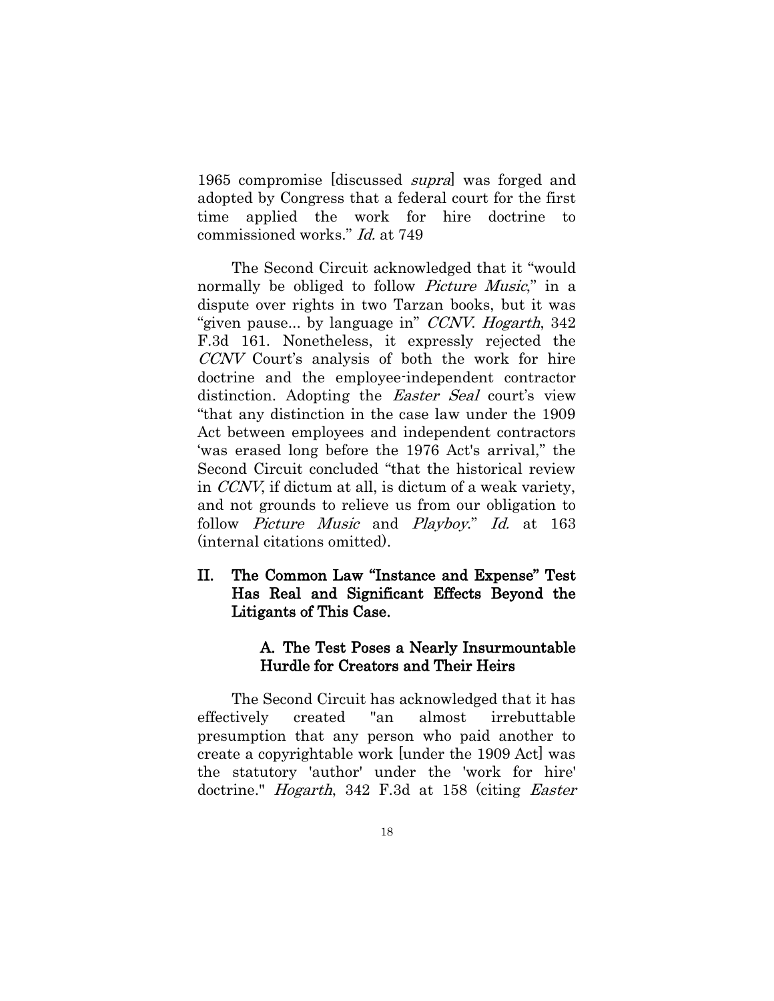1965 compromise [discussed *supra*] was forged and adopted by Congress that a federal court for the first time applied the work for hire doctrine to commissioned works." Id. at 749

The Second Circuit acknowledged that it "would normally be obliged to follow *Picture Music*," in a dispute over rights in two Tarzan books, but it was "given pause... by language in" CCNV. Hogarth, 342 F.3d 161. Nonetheless, it expressly rejected the CCNV Court's analysis of both the work for hire doctrine and the employee-independent contractor distinction. Adopting the Easter Seal court's view "that any distinction in the case law under the 1909 Act between employees and independent contractors 'was erased long before the 1976 Act's arrival," the Second Circuit concluded "that the historical review in CCNV, if dictum at all, is dictum of a weak variety, and not grounds to relieve us from our obligation to follow Picture Music and Playboy." Id. at 163 (internal citations omitted).

# <span id="page-21-0"></span>II. The Common Law "Instance and Expense" Test Has Real and Significant Effects Beyond the Litigants of This Case.

## <span id="page-21-1"></span> A. The Test Poses a Nearly Insurmountable Hurdle for Creators and Their Heirs

The Second Circuit has acknowledged that it has effectively created "an almost irrebuttable presumption that any person who paid another to create a copyrightable work [under the 1909 Act] was the statutory 'author' under the 'work for hire' doctrine." *Hogarth*, 342 F.3d at 158 (citing *Easter*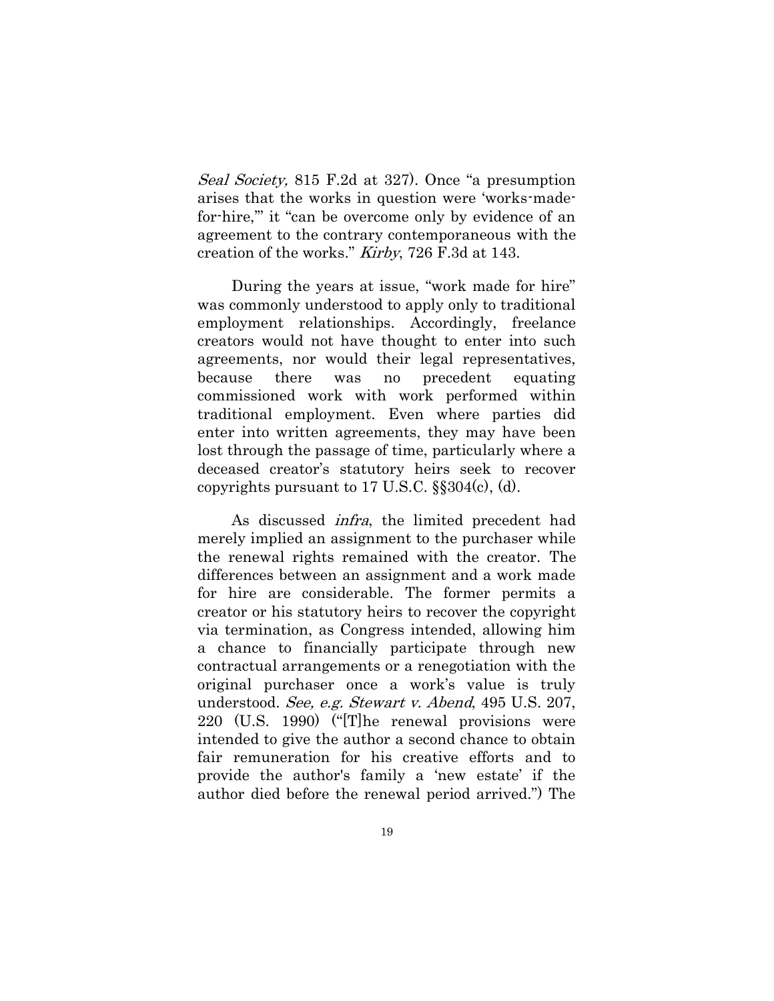Seal Society, 815 F.2d at 327). Once "a presumption arises that the works in question were 'works-madefor-hire,'" it "can be overcome only by evidence of an agreement to the contrary contemporaneous with the creation of the works." Kirby, 726 F.3d at 143.

During the years at issue, "work made for hire" was commonly understood to apply only to traditional employment relationships. Accordingly, freelance creators would not have thought to enter into such agreements, nor would their legal representatives, because there was no precedent equating commissioned work with work performed within traditional employment. Even where parties did enter into written agreements, they may have been lost through the passage of time, particularly where a deceased creator's statutory heirs seek to recover copyrights pursuant to  $17 \text{ U.S.C. }$  §§ $304(c)$ , (d).

As discussed infra, the limited precedent had merely implied an assignment to the purchaser while the renewal rights remained with the creator. The differences between an assignment and a work made for hire are considerable. The former permits a creator or his statutory heirs to recover the copyright via termination, as Congress intended, allowing him a chance to financially participate through new contractual arrangements or a renegotiation with the original purchaser once a work's value is truly understood. See, e.g. Stewart v. Abend, 495 U.S. 207, 220 (U.S. 1990) ("[T]he renewal provisions were intended to give the author a second chance to obtain fair remuneration for his creative efforts and to provide the author's family a 'new estate' if the author died before the renewal period arrived.") The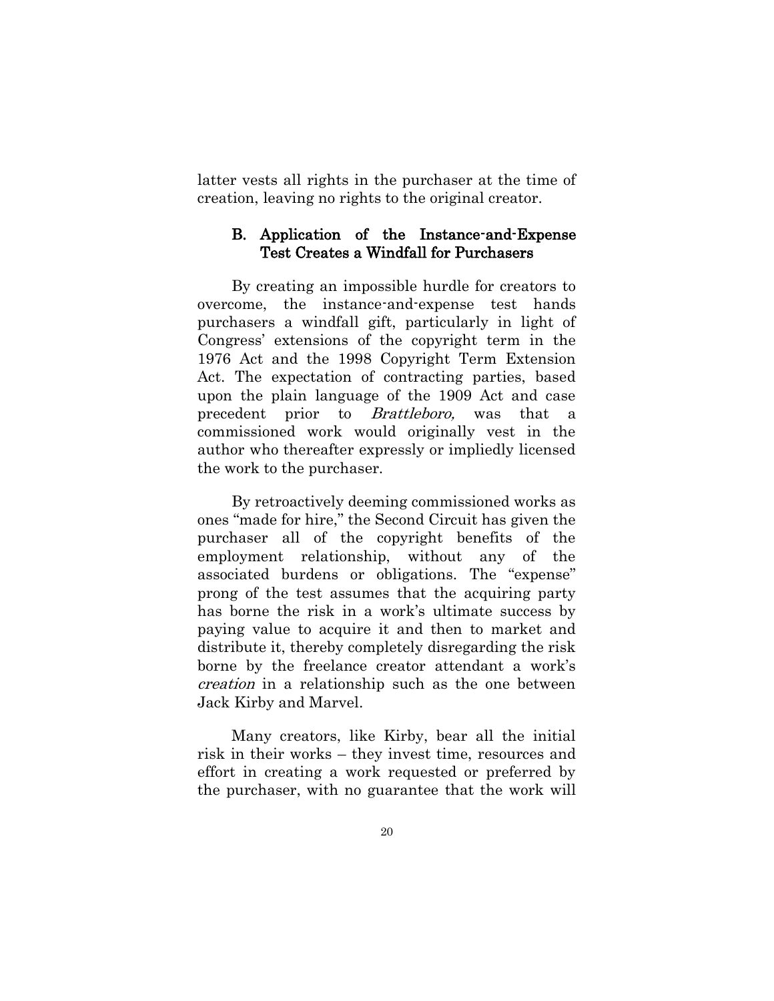latter vests all rights in the purchaser at the time of creation, leaving no rights to the original creator.

### <span id="page-23-0"></span>B. Application of the Instance-and-Expense Test Creates a Windfall for Purchasers

By creating an impossible hurdle for creators to overcome, the instance-and-expense test hands purchasers a windfall gift, particularly in light of Congress' extensions of the copyright term in the 1976 Act and the 1998 Copyright Term Extension Act. The expectation of contracting parties, based upon the plain language of the 1909 Act and case precedent prior to *Brattleboro*, was that a commissioned work would originally vest in the author who thereafter expressly or impliedly licensed the work to the purchaser.

By retroactively deeming commissioned works as ones "made for hire," the Second Circuit has given the purchaser all of the copyright benefits of the employment relationship, without any of the associated burdens or obligations. The "expense" prong of the test assumes that the acquiring party has borne the risk in a work's ultimate success by paying value to acquire it and then to market and distribute it, thereby completely disregarding the risk borne by the freelance creator attendant a work's creation in a relationship such as the one between Jack Kirby and Marvel.

Many creators, like Kirby, bear all the initial risk in their works – they invest time, resources and effort in creating a work requested or preferred by the purchaser, with no guarantee that the work will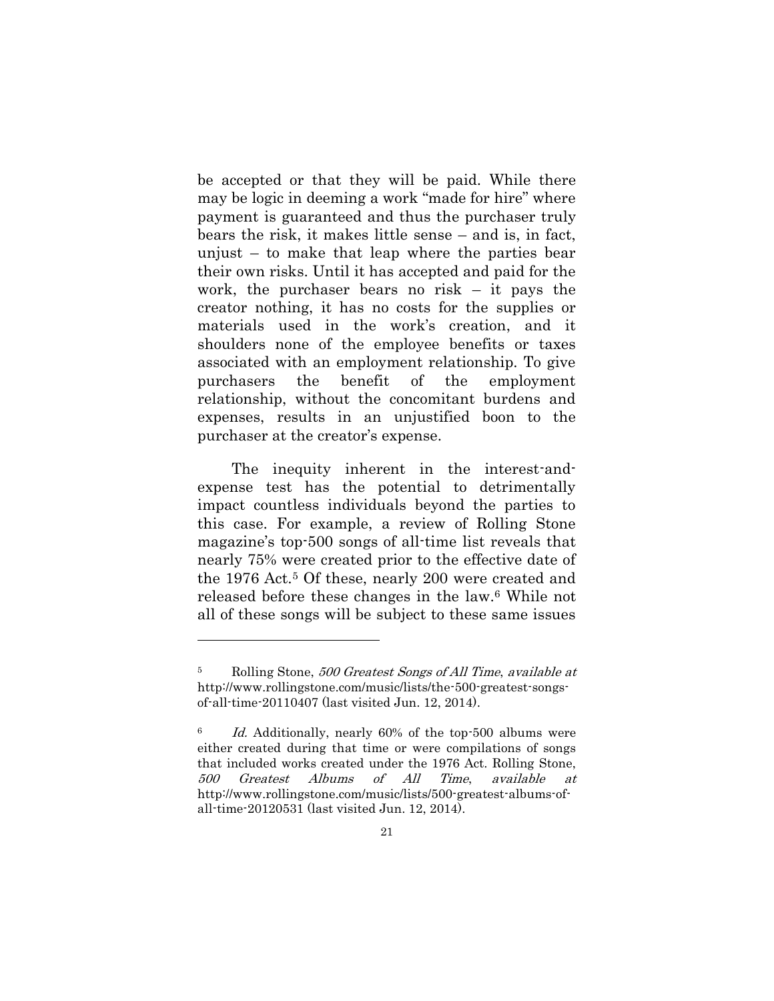be accepted or that they will be paid. While there may be logic in deeming a work "made for hire" where payment is guaranteed and thus the purchaser truly bears the risk, it makes little sense – and is, in fact, unjust – to make that leap where the parties bear their own risks. Until it has accepted and paid for the work, the purchaser bears no risk – it pays the creator nothing, it has no costs for the supplies or materials used in the work's creation, and it shoulders none of the employee benefits or taxes associated with an employment relationship. To give purchasers the benefit of the employment relationship, without the concomitant burdens and expenses, results in an unjustified boon to the purchaser at the creator's expense.

The inequity inherent in the interest-andexpense test has the potential to detrimentally impact countless individuals beyond the parties to this case. For example, a review of Rolling Stone magazine's top-500 songs of all-time list reveals that nearly 75% were created prior to the effective date of the 1976 Act.<sup>5</sup> Of these, nearly 200 were created and released before these changes in the law.<sup>6</sup> While not all of these songs will be subject to these same issues

1

<sup>5</sup> Rolling Stone, 500 Greatest Songs of All Time, available at http://www.rollingstone.com/music/lists/the-500-greatest-songsof-all-time-20110407 (last visited Jun. 12, 2014).

 $6$  Id. Additionally, nearly 60% of the top-500 albums were either created during that time or were compilations of songs that included works created under the 1976 Act. Rolling Stone, 500 Greatest Albums of All Time, available at http://www.rollingstone.com/music/lists/500-greatest-albums-ofall-time-20120531 (last visited Jun. 12, 2014).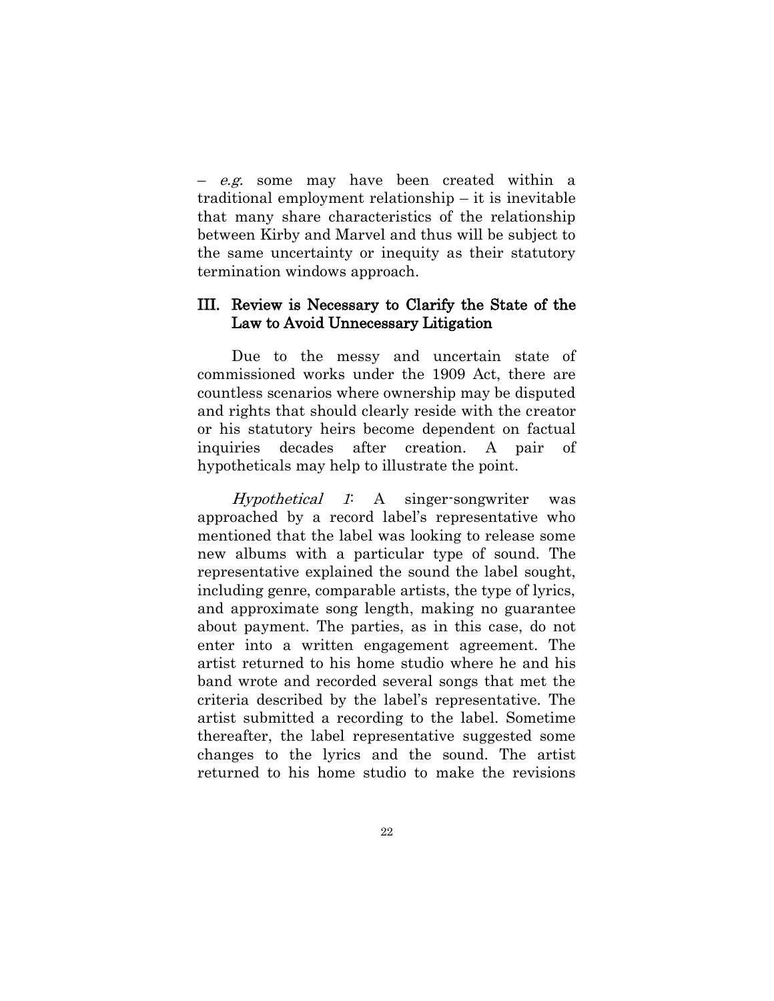– e.g. some may have been created within a traditional employment relationship – it is inevitable that many share characteristics of the relationship between Kirby and Marvel and thus will be subject to the same uncertainty or inequity as their statutory termination windows approach.

### <span id="page-25-0"></span>III. Review is Necessary to Clarify the State of the Law to Avoid Unnecessary Litigation

Due to the messy and uncertain state of commissioned works under the 1909 Act, there are countless scenarios where ownership may be disputed and rights that should clearly reside with the creator or his statutory heirs become dependent on factual inquiries decades after creation. A pair of hypotheticals may help to illustrate the point.

Hypothetical 1: A singer-songwriter was approached by a record label's representative who mentioned that the label was looking to release some new albums with a particular type of sound. The representative explained the sound the label sought, including genre, comparable artists, the type of lyrics, and approximate song length, making no guarantee about payment. The parties, as in this case, do not enter into a written engagement agreement. The artist returned to his home studio where he and his band wrote and recorded several songs that met the criteria described by the label's representative. The artist submitted a recording to the label. Sometime thereafter, the label representative suggested some changes to the lyrics and the sound. The artist returned to his home studio to make the revisions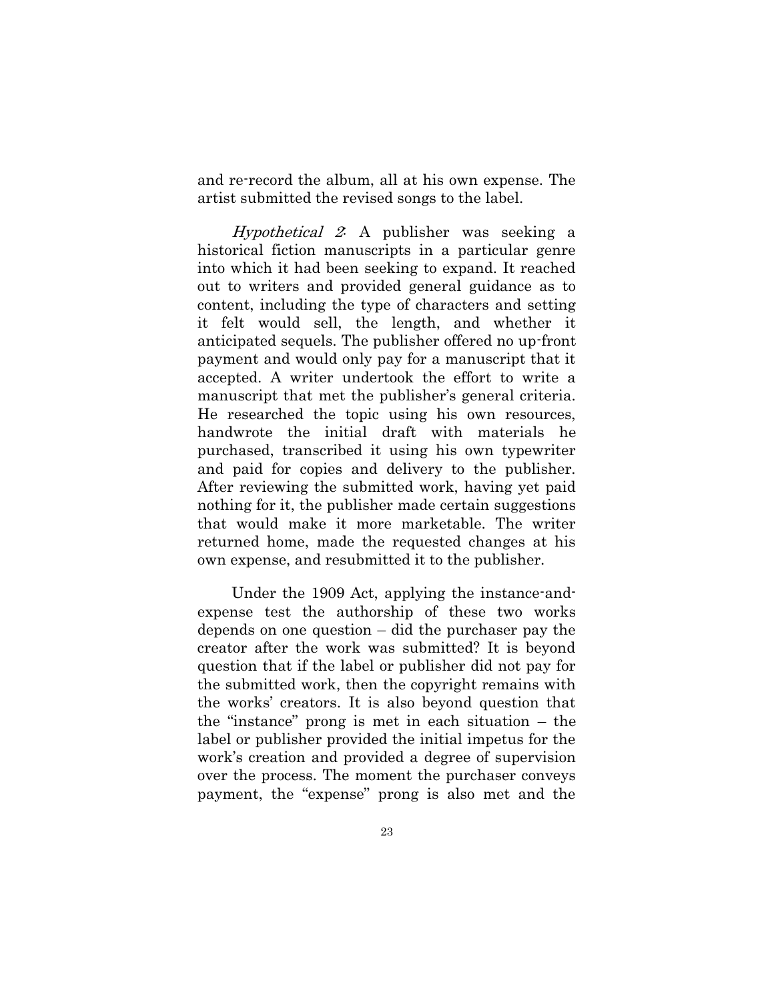and re-record the album, all at his own expense. The artist submitted the revised songs to the label.

Hypothetical 2: A publisher was seeking a historical fiction manuscripts in a particular genre into which it had been seeking to expand. It reached out to writers and provided general guidance as to content, including the type of characters and setting it felt would sell, the length, and whether it anticipated sequels. The publisher offered no up-front payment and would only pay for a manuscript that it accepted. A writer undertook the effort to write a manuscript that met the publisher's general criteria. He researched the topic using his own resources, handwrote the initial draft with materials he purchased, transcribed it using his own typewriter and paid for copies and delivery to the publisher. After reviewing the submitted work, having yet paid nothing for it, the publisher made certain suggestions that would make it more marketable. The writer returned home, made the requested changes at his own expense, and resubmitted it to the publisher.

Under the 1909 Act, applying the instance-andexpense test the authorship of these two works depends on one question – did the purchaser pay the creator after the work was submitted? It is beyond question that if the label or publisher did not pay for the submitted work, then the copyright remains with the works' creators. It is also beyond question that the "instance" prong is met in each situation – the label or publisher provided the initial impetus for the work's creation and provided a degree of supervision over the process. The moment the purchaser conveys payment, the "expense" prong is also met and the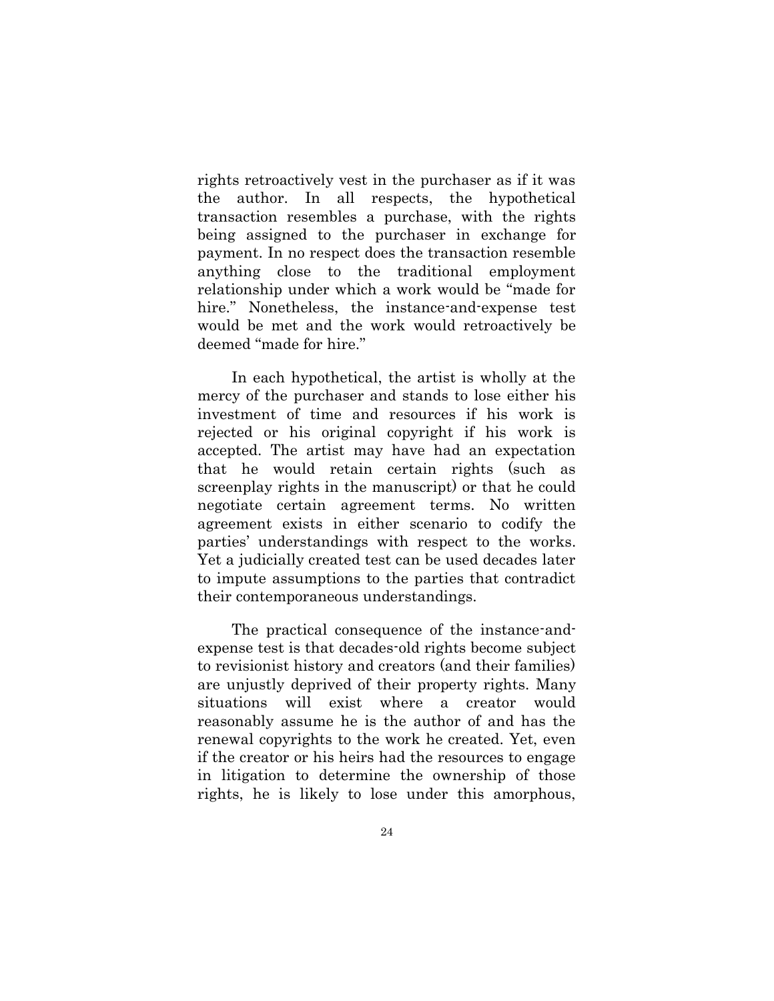rights retroactively vest in the purchaser as if it was the author. In all respects, the hypothetical transaction resembles a purchase, with the rights being assigned to the purchaser in exchange for payment. In no respect does the transaction resemble anything close to the traditional employment relationship under which a work would be "made for hire." Nonetheless, the instance-and-expense test would be met and the work would retroactively be deemed "made for hire."

In each hypothetical, the artist is wholly at the mercy of the purchaser and stands to lose either his investment of time and resources if his work is rejected or his original copyright if his work is accepted. The artist may have had an expectation that he would retain certain rights (such as screenplay rights in the manuscript) or that he could negotiate certain agreement terms. No written agreement exists in either scenario to codify the parties' understandings with respect to the works. Yet a judicially created test can be used decades later to impute assumptions to the parties that contradict their contemporaneous understandings.

The practical consequence of the instance-andexpense test is that decades-old rights become subject to revisionist history and creators (and their families) are unjustly deprived of their property rights. Many situations will exist where a creator would reasonably assume he is the author of and has the renewal copyrights to the work he created. Yet, even if the creator or his heirs had the resources to engage in litigation to determine the ownership of those rights, he is likely to lose under this amorphous,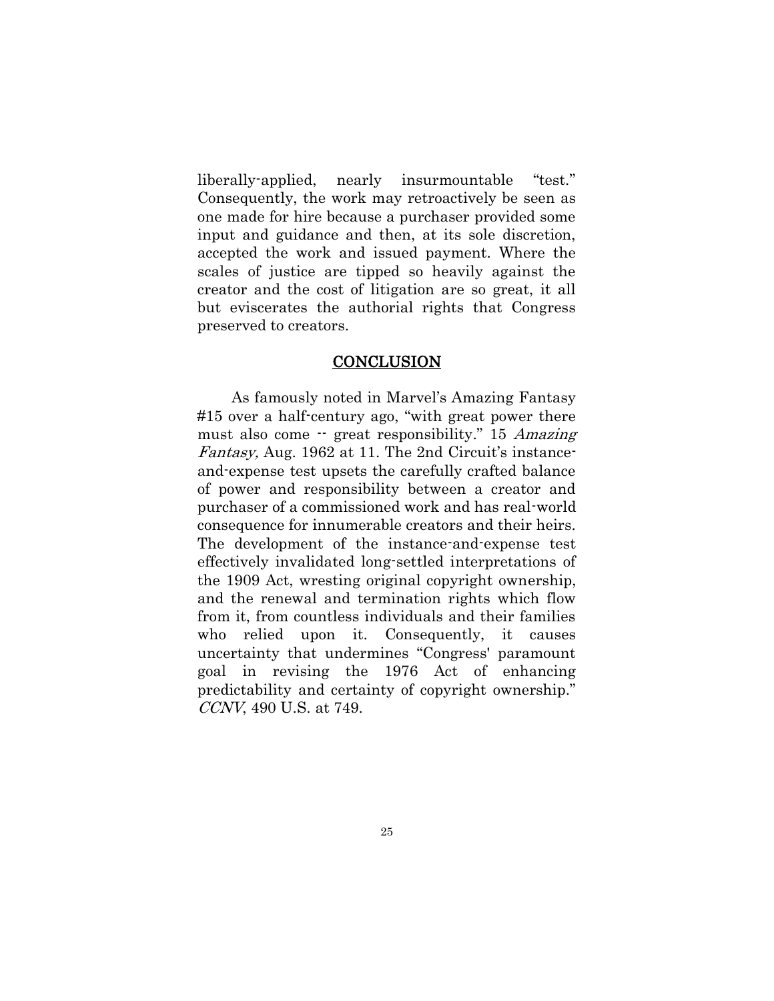liberally-applied, nearly insurmountable "test." Consequently, the work may retroactively be seen as one made for hire because a purchaser provided some input and guidance and then, at its sole discretion, accepted the work and issued payment. Where the scales of justice are tipped so heavily against the creator and the cost of litigation are so great, it all but eviscerates the authorial rights that Congress preserved to creators.

## **CONCLUSION**

<span id="page-28-0"></span>As famously noted in Marvel's Amazing Fantasy #15 over a half-century ago, "with great power there must also come -- great responsibility." 15 Amazing Fantasy, Aug. 1962 at 11. The 2nd Circuit's instanceand-expense test upsets the carefully crafted balance of power and responsibility between a creator and purchaser of a commissioned work and has real-world consequence for innumerable creators and their heirs. The development of the instance-and-expense test effectively invalidated long-settled interpretations of the 1909 Act, wresting original copyright ownership, and the renewal and termination rights which flow from it, from countless individuals and their families who relied upon it. Consequently, it causes uncertainty that undermines "Congress' paramount goal in revising the 1976 Act of enhancing predictability and certainty of copyright ownership." CCNV, 490 U.S. at 749.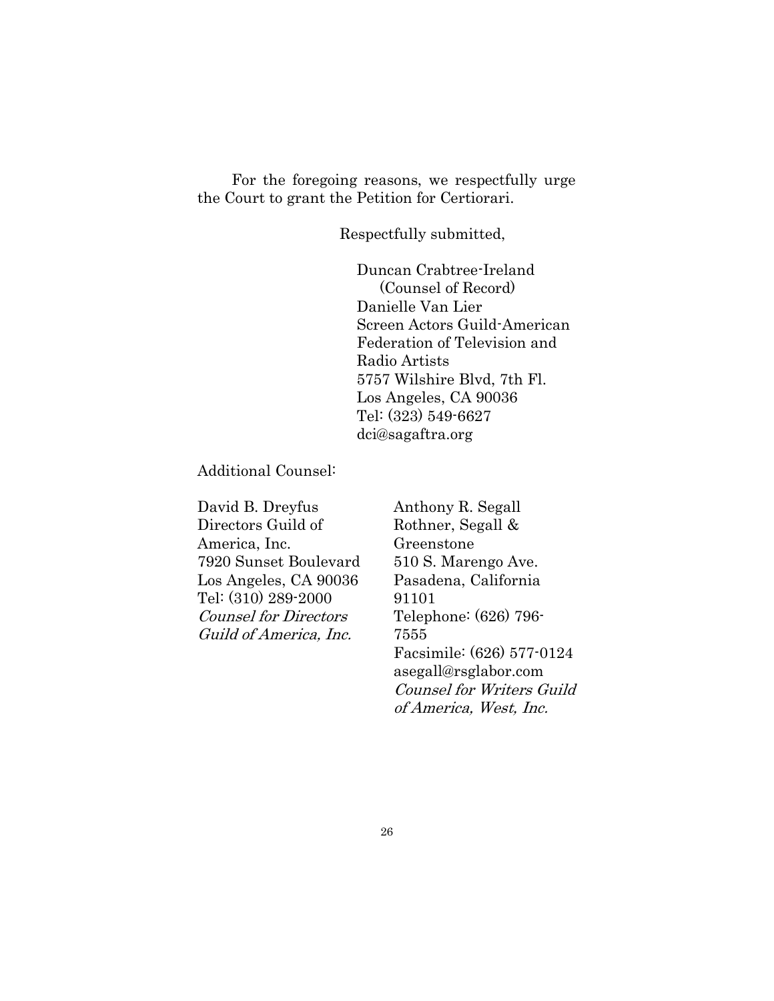For the foregoing reasons, we respectfully urge the Court to grant the Petition for Certiorari.

Respectfully submitted,

Duncan Crabtree-Ireland (Counsel of Record) Danielle Van Lier Screen Actors Guild-American Federation of Television and Radio Artists 5757 Wilshire Blvd, 7th Fl. Los Angeles, CA 90036 Tel: (323) 549-6627 dci@sagaftra.org

Additional Counsel:

David B. Dreyfus Directors Guild of America, Inc. 7920 Sunset Boulevard Los Angeles, CA 90036 Tel: (310) 289-2000 Counsel for Directors Guild of America, Inc.

Anthony R. Segall Rothner, Segall & Greenstone 510 S. Marengo Ave. Pasadena, California 91101 Telephone: (626) 796- 7555 Facsimile: (626) 577-0124 asegall@rsglabor.com Counsel for Writers Guild of America, West, Inc.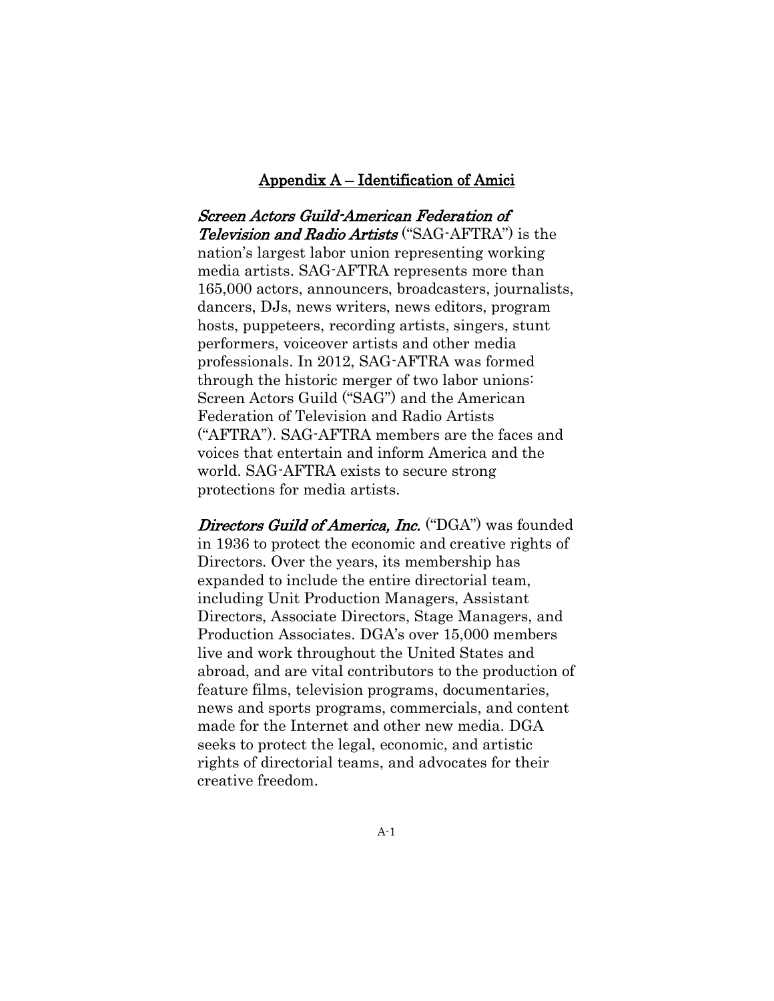#### Appendix A – Identification of Amici

<span id="page-30-0"></span>Screen Actors Guild-American Federation of Television and Radio Artists ("SAG-AFTRA") is the nation's largest labor union representing working media artists. SAG-AFTRA represents more than 165,000 actors, announcers, broadcasters, journalists, dancers, DJs, news writers, news editors, program hosts, puppeteers, recording artists, singers, stunt performers, voiceover artists and other media professionals. In 2012, SAG-AFTRA was formed through the historic merger of two labor unions: Screen Actors Guild ("SAG") and the American Federation of Television and Radio Artists ("AFTRA"). SAG-AFTRA members are the faces and voices that entertain and inform America and the world. SAG-AFTRA exists to secure strong protections for media artists.

Directors Guild of America, Inc. ("DGA") was founded in 1936 to protect the economic and creative rights of Directors. Over the years, its membership has expanded to include the entire directorial team, including Unit Production Managers, Assistant Directors, Associate Directors, Stage Managers, and Production Associates. DGA's over 15,000 members live and work throughout the United States and abroad, and are vital contributors to the production of feature films, television programs, documentaries, news and sports programs, commercials, and content made for the Internet and other new media. DGA seeks to protect the legal, economic, and artistic rights of directorial teams, and advocates for their creative freedom.